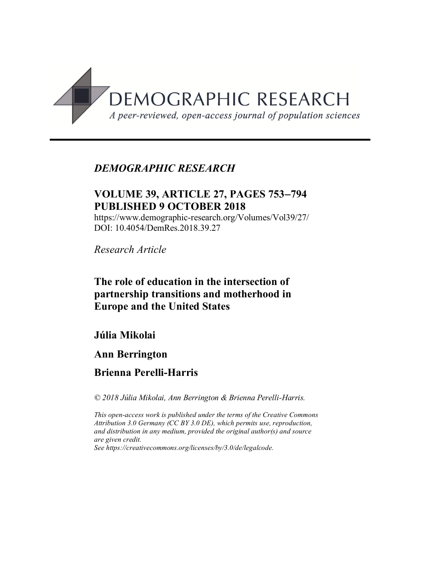

# *DEMOGRAPHIC RESEARCH*

# **VOLUME 39, ARTICLE 27, PAGES 753-794 PUBLISHED 9 OCTOBER 2018**

https://www.demographic-research.org/Volumes/Vol39/27/ DOI: 10.4054/DemRes.2018.39.27

*Research Article*

# **The role of education in the intersection of partnership transitions and motherhood in Europe and the United States**

# **Júlia Mikolai**

# **Ann Berrington**

# **Brienna Perelli-Harris**

*© 2018 Júlia Mikolai, Ann Berrington & Brienna Perelli-Harris.*

*This open-access work is published under the terms of the Creative Commons Attribution 3.0 Germany (CC BY 3.0 DE), which permits use, reproduction, and distribution in any medium, provided the original author(s) and source are given credit. See [https://creativecommons.org/licenses/by/3.0/de/legalcode.](https://creativecommons.org/licenses/by/3.0/de/legalcode)*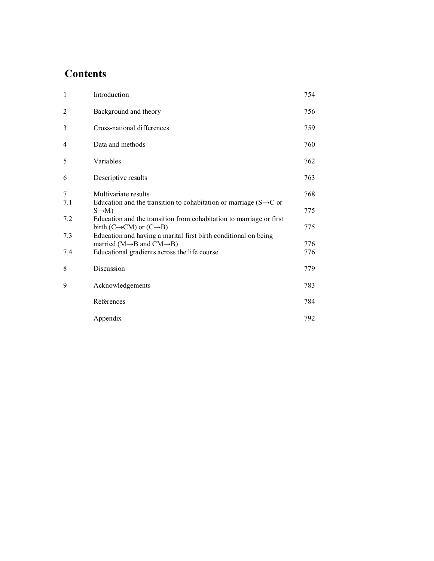# **Contents**

| $\mathbf{1}$ | Introduction                                                                                                             | 754 |
|--------------|--------------------------------------------------------------------------------------------------------------------------|-----|
| 2            | Background and theory                                                                                                    | 756 |
| 3            | Cross-national differences                                                                                               | 759 |
| 4            | Data and methods                                                                                                         | 760 |
| 5            | Variables                                                                                                                | 762 |
| 6            | Descriptive results                                                                                                      | 763 |
| 7            | Multivariate results                                                                                                     | 768 |
| 7.1          | Education and the transition to cohabitation or marriage ( $S \rightarrow C$ or<br>$S \rightarrow M$ )                   | 775 |
| 7.2          | Education and the transition from cohabitation to marriage or first<br>birth (C $\rightarrow$ CM) or (C $\rightarrow$ B) | 775 |
| 7.3          | Education and having a marital first birth conditional on being<br>married ( $M \rightarrow B$ and $CM \rightarrow B$ )  | 776 |
| 7.4          | Educational gradients across the life course                                                                             | 776 |
| 8            | Discussion                                                                                                               | 779 |
| 9            | Acknowledgements                                                                                                         | 783 |
|              | References                                                                                                               | 784 |
|              | Appendix                                                                                                                 | 792 |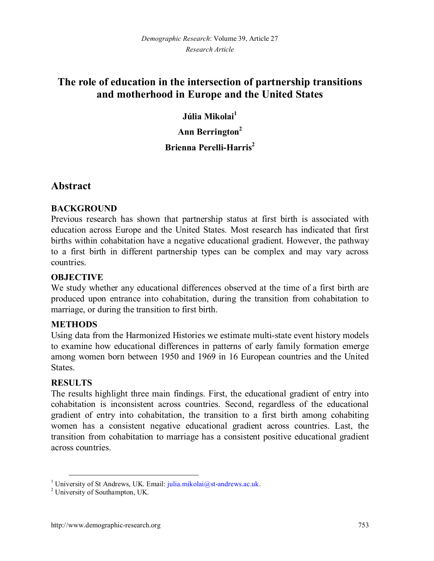# **The role of education in the intersection of partnership transitions and motherhood in Europe and the United States**

**Júlia Mikolai[1](#page-2-0)**

**Ann Berrington[2](#page-2-1)**

#### **Brienna Perelli-Harris<sup>2</sup>**

# **Abstract**

#### **BACKGROUND**

Previous research has shown that partnership status at first birth is associated with education across Europe and the United States. Most research has indicated that first births within cohabitation have a negative educational gradient. However, the pathway to a first birth in different partnership types can be complex and may vary across countries.

#### **OBJECTIVE**

We study whether any educational differences observed at the time of a first birth are produced upon entrance into cohabitation, during the transition from cohabitation to marriage, or during the transition to first birth.

#### **METHODS**

Using data from the Harmonized Histories we estimate multi-state event history models to examine how educational differences in patterns of early family formation emerge among women born between 1950 and 1969 in 16 European countries and the United States.

#### **RESULTS**

The results highlight three main findings. First, the educational gradient of entry into cohabitation is inconsistent across countries. Second, regardless of the educational gradient of entry into cohabitation, the transition to a first birth among cohabiting women has a consistent negative educational gradient across countries. Last, the transition from cohabitation to marriage has a consistent positive educational gradient across countries.

<span id="page-2-0"></span><sup>&</sup>lt;sup>1</sup> University of St Andrews, UK. Email: julia.mikolai@st-andrews.ac.uk.

<span id="page-2-1"></span><sup>&</sup>lt;sup>2</sup> University of Southampton, UK.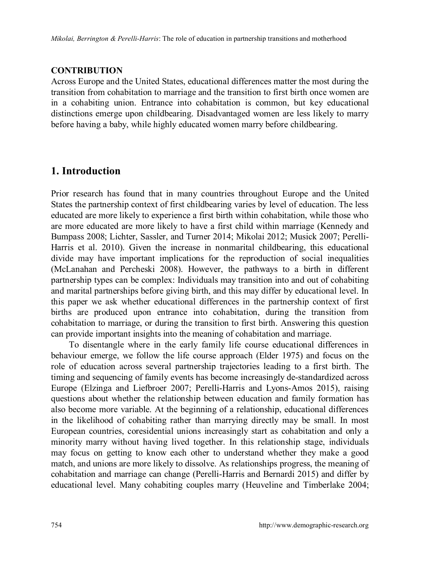#### **CONTRIBUTION**

Across Europe and the United States, educational differences matter the most during the transition from cohabitation to marriage and the transition to first birth once women are in a cohabiting union. Entrance into cohabitation is common, but key educational distinctions emerge upon childbearing. Disadvantaged women are less likely to marry before having a baby, while highly educated women marry before childbearing.

# **1. Introduction**

Prior research has found that in many countries throughout Europe and the United States the partnership context of first childbearing varies by level of education. The less educated are more likely to experience a first birth within cohabitation, while those who are more educated are more likely to have a first child within marriage (Kennedy and Bumpass 2008; Lichter, Sassler, and Turner 2014; Mikolai 2012; Musick 2007; Perelli-Harris et al. 2010). Given the increase in nonmarital childbearing, this educational divide may have important implications for the reproduction of social inequalities (McLanahan and Percheski 2008). However, the pathways to a birth in different partnership types can be complex: Individuals may transition into and out of cohabiting and marital partnerships before giving birth, and this may differ by educational level. In this paper we ask whether educational differences in the partnership context of first births are produced upon entrance into cohabitation, during the transition from cohabitation to marriage, or during the transition to first birth. Answering this question can provide important insights into the meaning of cohabitation and marriage.

To disentangle where in the early family life course educational differences in behaviour emerge, we follow the life course approach (Elder 1975) and focus on the role of education across several partnership trajectories leading to a first birth. The timing and sequencing of family events has become increasingly de-standardized across Europe (Elzinga and Liefbroer 2007; Perelli-Harris and Lyons-Amos 2015), raising questions about whether the relationship between education and family formation has also become more variable. At the beginning of a relationship, educational differences in the likelihood of cohabiting rather than marrying directly may be small. In most European countries, coresidential unions increasingly start as cohabitation and only a minority marry without having lived together. In this relationship stage, individuals may focus on getting to know each other to understand whether they make a good match, and unions are more likely to dissolve. As relationships progress, the meaning of cohabitation and marriage can change (Perelli-Harris and Bernardi 2015) and differ by educational level. Many cohabiting couples marry (Heuveline and Timberlake 2004;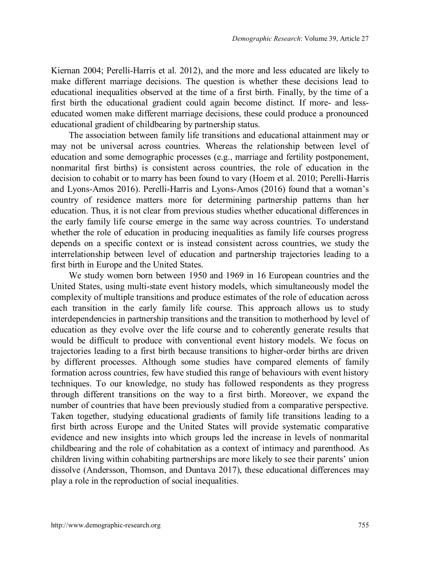Kiernan 2004; Perelli-Harris et al. 2012), and the more and less educated are likely to make different marriage decisions. The question is whether these decisions lead to educational inequalities observed at the time of a first birth. Finally, by the time of a first birth the educational gradient could again become distinct. If more- and lesseducated women make different marriage decisions, these could produce a pronounced educational gradient of childbearing by partnership status.

The association between family life transitions and educational attainment may or may not be universal across countries. Whereas the relationship between level of education and some demographic processes (e.g., marriage and fertility postponement, nonmarital first births) is consistent across countries, the role of education in the decision to cohabit or to marry has been found to vary (Hoem et al. 2010; Perelli-Harris and Lyons-Amos 2016). Perelli-Harris and Lyons-Amos (2016) found that a woman's country of residence matters more for determining partnership patterns than her education. Thus, it is not clear from previous studies whether educational differences in the early family life course emerge in the same way across countries. To understand whether the role of education in producing inequalities as family life courses progress depends on a specific context or is instead consistent across countries, we study the interrelationship between level of education and partnership trajectories leading to a first birth in Europe and the United States.

We study women born between 1950 and 1969 in 16 European countries and the United States, using multi-state event history models, which simultaneously model the complexity of multiple transitions and produce estimates of the role of education across each transition in the early family life course. This approach allows us to study interdependencies in partnership transitions and the transition to motherhood by level of education as they evolve over the life course and to coherently generate results that would be difficult to produce with conventional event history models. We focus on trajectories leading to a first birth because transitions to higher-order births are driven by different processes. Although some studies have compared elements of family formation across countries, few have studied this range of behaviours with event history techniques. To our knowledge, no study has followed respondents as they progress through different transitions on the way to a first birth. Moreover, we expand the number of countries that have been previously studied from a comparative perspective. Taken together, studying educational gradients of family life transitions leading to a first birth across Europe and the United States will provide systematic comparative evidence and new insights into which groups led the increase in levels of nonmarital childbearing and the role of cohabitation as a context of intimacy and parenthood. As children living within cohabiting partnerships are more likely to see their parents' union dissolve (Andersson, Thomson, and Duntava 2017), these educational differences may play a role in the reproduction of social inequalities.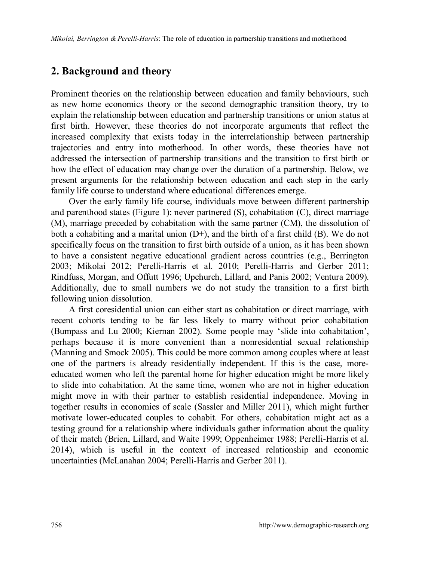#### **2. Background and theory**

Prominent theories on the relationship between education and family behaviours, such as new home economics theory or the second demographic transition theory, try to explain the relationship between education and partnership transitions or union status at first birth. However, these theories do not incorporate arguments that reflect the increased complexity that exists today in the interrelationship between partnership trajectories and entry into motherhood. In other words, these theories have not addressed the intersection of partnership transitions and the transition to first birth or how the effect of education may change over the duration of a partnership. Below, we present arguments for the relationship between education and each step in the early family life course to understand where educational differences emerge.

Over the early family life course, individuals move between different partnership and parenthood states (Figure 1): never partnered (S), cohabitation (C), direct marriage (M), marriage preceded by cohabitation with the same partner (CM), the dissolution of both a cohabiting and a marital union  $(D+)$ , and the birth of a first child  $(B)$ . We do not specifically focus on the transition to first birth outside of a union, as it has been shown to have a consistent negative educational gradient across countries (e.g., Berrington 2003; Mikolai 2012; Perelli-Harris et al. 2010; Perelli-Harris and Gerber 2011; Rindfuss, Morgan, and Offutt 1996; Upchurch, Lillard, and Panis 2002; Ventura 2009). Additionally, due to small numbers we do not study the transition to a first birth following union dissolution.

A first coresidential union can either start as cohabitation or direct marriage, with recent cohorts tending to be far less likely to marry without prior cohabitation (Bumpass and Lu 2000; Kiernan 2002). Some people may 'slide into cohabitation', perhaps because it is more convenient than a nonresidential sexual relationship (Manning and Smock 2005). This could be more common among couples where at least one of the partners is already residentially independent. If this is the case, moreeducated women who left the parental home for higher education might be more likely to slide into cohabitation. At the same time, women who are not in higher education might move in with their partner to establish residential independence. Moving in together results in economies of scale (Sassler and Miller 2011), which might further motivate lower-educated couples to cohabit. For others, cohabitation might act as a testing ground for a relationship where individuals gather information about the quality of their match (Brien, Lillard, and Waite 1999; Oppenheimer 1988; Perelli-Harris et al. 2014), which is useful in the context of increased relationship and economic uncertainties (McLanahan 2004; Perelli-Harris and Gerber 2011).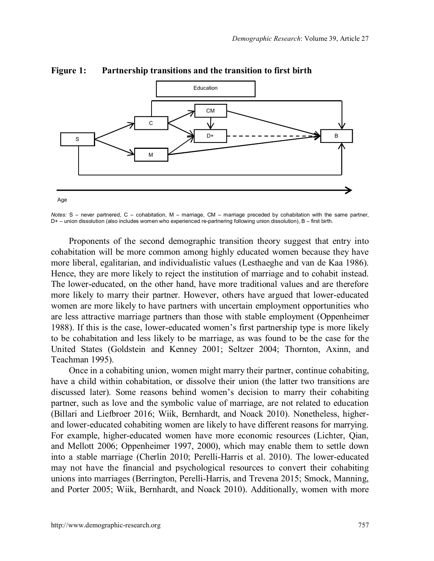

#### **Figure 1: Partnership transitions and the transition to first birth**

*Notes:* S – never partnered, C – cohabitation, M – marriage, CM – marriage preceded by cohabitation with the same partner, D+ – union dissolution (also includes women who experienced re-partnering following union dissolution), B – first birth.

Proponents of the second demographic transition theory suggest that entry into cohabitation will be more common among highly educated women because they have more liberal, egalitarian, and individualistic values (Lesthaeghe and van de Kaa 1986). Hence, they are more likely to reject the institution of marriage and to cohabit instead. The lower-educated, on the other hand, have more traditional values and are therefore more likely to marry their partner. However, others have argued that lower-educated women are more likely to have partners with uncertain employment opportunities who are less attractive marriage partners than those with stable employment (Oppenheimer 1988). If this is the case, lower-educated women's first partnership type is more likely to be cohabitation and less likely to be marriage, as was found to be the case for the United States (Goldstein and Kenney 2001; Seltzer 2004; Thornton, Axinn, and Teachman 1995).

Once in a cohabiting union, women might marry their partner, continue cohabiting, have a child within cohabitation, or dissolve their union (the latter two transitions are discussed later). Some reasons behind women's decision to marry their cohabiting partner, such as love and the symbolic value of marriage, are not related to education (Billari and Liefbroer 2016; Wiik, Bernhardt, and Noack 2010). Nonetheless, higherand lower-educated cohabiting women are likely to have different reasons for marrying. For example, higher-educated women have more economic resources (Lichter, Qian, and Mellott 2006; Oppenheimer 1997, 2000), which may enable them to settle down into a stable marriage (Cherlin 2010; Perelli-Harris et al. 2010). The lower-educated may not have the financial and psychological resources to convert their cohabiting unions into marriages (Berrington, Perelli-Harris, and Trevena 2015; Smock, Manning, and Porter 2005; Wiik, Bernhardt, and Noack 2010). Additionally, women with more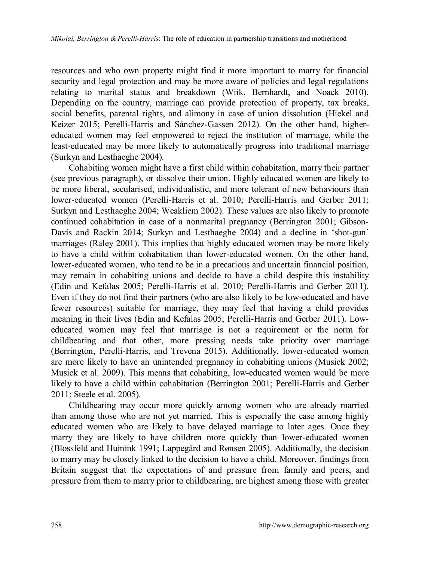resources and who own property might find it more important to marry for financial security and legal protection and may be more aware of policies and legal regulations relating to marital status and breakdown (Wiik, Bernhardt, and Noack 2010). Depending on the country, marriage can provide protection of property, tax breaks, social benefits, parental rights, and alimony in case of union dissolution (Hiekel and Keizer 2015; Perelli-Harris and Sánchez-Gassen 2012). On the other hand, highereducated women may feel empowered to reject the institution of marriage, while the least-educated may be more likely to automatically progress into traditional marriage (Surkyn and Lesthaeghe 2004).

Cohabiting women might have a first child within cohabitation, marry their partner (see previous paragraph), or dissolve their union. Highly educated women are likely to be more liberal, secularised, individualistic, and more tolerant of new behaviours than lower-educated women (Perelli-Harris et al. 2010; Perelli-Harris and Gerber 2011; Surkyn and Lesthaeghe 2004; Weakliem 2002). These values are also likely to promote continued cohabitation in case of a nonmarital pregnancy (Berrington 2001; Gibson-Davis and Rackin 2014; Surkyn and Lesthaeghe 2004) and a decline in 'shot-gun' marriages (Raley 2001). This implies that highly educated women may be more likely to have a child within cohabitation than lower-educated women. On the other hand, lower-educated women, who tend to be in a precarious and uncertain financial position, may remain in cohabiting unions and decide to have a child despite this instability (Edin and Kefalas 2005; Perelli-Harris et al. 2010; Perelli-Harris and Gerber 2011). Even if they do not find their partners (who are also likely to be low-educated and have fewer resources) suitable for marriage, they may feel that having a child provides meaning in their lives (Edin and Kefalas 2005; Perelli-Harris and Gerber 2011). Loweducated women may feel that marriage is not a requirement or the norm for childbearing and that other, more pressing needs take priority over marriage (Berrington, Perelli-Harris, and Trevena 2015). Additionally, lower-educated women are more likely to have an unintended pregnancy in cohabiting unions (Musick 2002; Musick et al. 2009). This means that cohabiting, low-educated women would be more likely to have a child within cohabitation (Berrington 2001; Perelli-Harris and Gerber 2011; Steele et al. 2005).

Childbearing may occur more quickly among women who are already married than among those who are not yet married. This is especially the case among highly educated women who are likely to have delayed marriage to later ages. Once they marry they are likely to have children more quickly than lower-educated women (Blossfeld and Huinink 1991; Lappegård and Rønsen 2005). Additionally, the decision to marry may be closely linked to the decision to have a child. Moreover, findings from Britain suggest that the expectations of and pressure from family and peers, and pressure from them to marry prior to childbearing, are highest among those with greater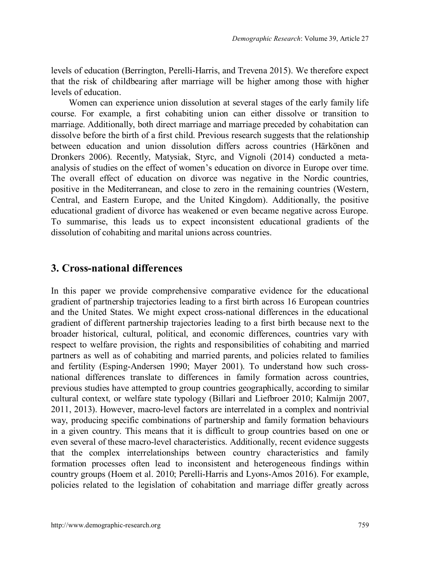levels of education (Berrington, Perelli-Harris, and Trevena 2015). We therefore expect that the risk of childbearing after marriage will be higher among those with higher levels of education.

Women can experience union dissolution at several stages of the early family life course. For example, a first cohabiting union can either dissolve or transition to marriage. Additionally, both direct marriage and marriage preceded by cohabitation can dissolve before the birth of a first child. Previous research suggests that the relationship between education and union dissolution differs across countries (Härkönen and Dronkers 2006). Recently, Matysiak, Styrc, and Vignoli (2014) conducted a metaanalysis of studies on the effect of women's education on divorce in Europe over time. The overall effect of education on divorce was negative in the Nordic countries, positive in the Mediterranean, and close to zero in the remaining countries (Western, Central, and Eastern Europe, and the United Kingdom). Additionally, the positive educational gradient of divorce has weakened or even became negative across Europe. To summarise, this leads us to expect inconsistent educational gradients of the dissolution of cohabiting and marital unions across countries.

## **3. Cross-national differences**

In this paper we provide comprehensive comparative evidence for the educational gradient of partnership trajectories leading to a first birth across 16 European countries and the United States. We might expect cross-national differences in the educational gradient of different partnership trajectories leading to a first birth because next to the broader historical, cultural, political, and economic differences, countries vary with respect to welfare provision, the rights and responsibilities of cohabiting and married partners as well as of cohabiting and married parents, and policies related to families and fertility (Esping-Andersen 1990; Mayer 2001). To understand how such crossnational differences translate to differences in family formation across countries, previous studies have attempted to group countries geographically, according to similar cultural context, or welfare state typology (Billari and Liefbroer 2010; Kalmijn 2007, 2011, 2013). However, macro-level factors are interrelated in a complex and nontrivial way, producing specific combinations of partnership and family formation behaviours in a given country. This means that it is difficult to group countries based on one or even several of these macro-level characteristics. Additionally, recent evidence suggests that the complex interrelationships between country characteristics and family formation processes often lead to inconsistent and heterogeneous findings within country groups (Hoem et al. 2010; Perelli-Harris and Lyons-Amos 2016). For example, policies related to the legislation of cohabitation and marriage differ greatly across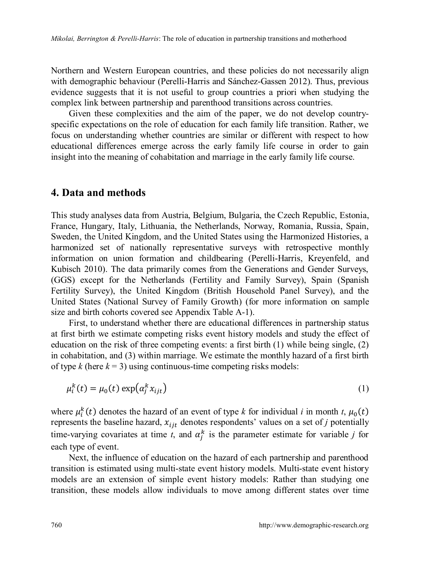Northern and Western European countries, and these policies do not necessarily align with demographic behaviour (Perelli-Harris and Sánchez-Gassen 2012). Thus, previous evidence suggests that it is not useful to group countries a priori when studying the complex link between partnership and parenthood transitions across countries.

Given these complexities and the aim of the paper, we do not develop countryspecific expectations on the role of education for each family life transition. Rather, we focus on understanding whether countries are similar or different with respect to how educational differences emerge across the early family life course in order to gain insight into the meaning of cohabitation and marriage in the early family life course.

#### **4. Data and methods**

This study analyses data from Austria, Belgium, Bulgaria, the Czech Republic, Estonia, France, Hungary, Italy, Lithuania, the Netherlands, Norway, Romania, Russia, Spain, Sweden, the United Kingdom, and the United States using the Harmonized Histories, a harmonized set of nationally representative surveys with retrospective monthly information on union formation and childbearing (Perelli-Harris, Kreyenfeld, and Kubisch 2010). The data primarily comes from the Generations and Gender Surveys, (GGS) except for the Netherlands (Fertility and Family Survey), Spain (Spanish Fertility Survey), the United Kingdom (British Household Panel Survey), and the United States (National Survey of Family Growth) (for more information on sample size and birth cohorts covered see Appendix Table A-1).

First, to understand whether there are educational differences in partnership status at first birth we estimate competing risks event history models and study the effect of education on the risk of three competing events: a first birth (1) while being single, (2) in cohabitation, and (3) within marriage. We estimate the monthly hazard of a first birth of type  $k$  (here  $k = 3$ ) using continuous-time competing risks models:

$$
\mu_i^k(t) = \mu_0(t) \exp\left(\alpha_j^k x_{ijt}\right) \tag{1}
$$

where  $\mu_i^k(t)$  denotes the hazard of an event of type *k* for individual *i* in month *t*,  $\mu_0(t)$ represents the baseline hazard,  $x_{i}$  denotes respondents' values on a set of *j* potentially time-varying covariates at time *t*, and  $\alpha_j^k$  is the parameter estimate for variable *j* for each type of event.

Next, the influence of education on the hazard of each partnership and parenthood transition is estimated using multi-state event history models. Multi-state event history models are an extension of simple event history models: Rather than studying one transition, these models allow individuals to move among different states over time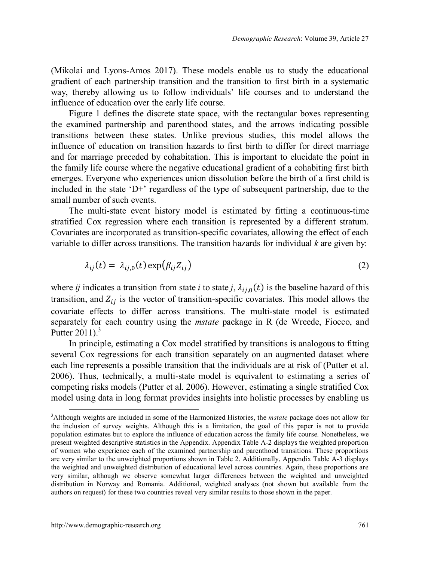(Mikolai and Lyons-Amos 2017). These models enable us to study the educational gradient of each partnership transition and the transition to first birth in a systematic way, thereby allowing us to follow individuals' life courses and to understand the influence of education over the early life course.

Figure 1 defines the discrete state space, with the rectangular boxes representing the examined partnership and parenthood states, and the arrows indicating possible transitions between these states. Unlike previous studies, this model allows the influence of education on transition hazards to first birth to differ for direct marriage and for marriage preceded by cohabitation. This is important to elucidate the point in the family life course where the negative educational gradient of a cohabiting first birth emerges. Everyone who experiences union dissolution before the birth of a first child is included in the state  $(D+')$  regardless of the type of subsequent partnership, due to the small number of such events.

The multi-state event history model is estimated by fitting a continuous-time stratified Cox regression where each transition is represented by a different stratum. Covariates are incorporated as transition-specific covariates, allowing the effect of each variable to differ across transitions. The transition hazards for individual *k* are given by:

$$
\lambda_{ij}(t) = \lambda_{ij,0}(t) \exp(\beta_{ij} Z_{ij})
$$
\n(2)

where *ij* indicates a transition from state *i* to state *j*,  $\lambda_{ij,0}(t)$  is the baseline hazard of this transition, and  $Z_{ij}$  is the vector of transition-specific covariates. This model allows the covariate effects to differ across transitions. The multi-state model is estimated separately for each country using the *mstate* package in R (de Wreede, Fiocco, and Putter  $2011$ .<sup>[3](#page-10-0)</sup>

In principle, estimating a Cox model stratified by transitions is analogous to fitting several Cox regressions for each transition separately on an augmented dataset where each line represents a possible transition that the individuals are at risk of (Putter et al. 2006). Thus, technically, a multi-state model is equivalent to estimating a series of competing risks models (Putter et al. 2006). However, estimating a single stratified Cox model using data in long format provides insights into holistic processes by enabling us

<span id="page-10-0"></span><sup>3</sup>Although weights are included in some of the Harmonized Histories, the *mstate* package does not allow for the inclusion of survey weights. Although this is a limitation, the goal of this paper is not to provide population estimates but to explore the influence of education across the family life course. Nonetheless, we present weighted descriptive statistics in the Appendix. Appendix Table A-2 displays the weighted proportion of women who experience each of the examined partnership and parenthood transitions. These proportions are very similar to the unweighted proportions shown in Table 2. Additionally, Appendix Table A-3 displays the weighted and unweighted distribution of educational level across countries. Again, these proportions are very similar, although we observe somewhat larger differences between the weighted and unweighted distribution in Norway and Romania. Additional, weighted analyses (not shown but available from the authors on request) for these two countries reveal very similar results to those shown in the paper.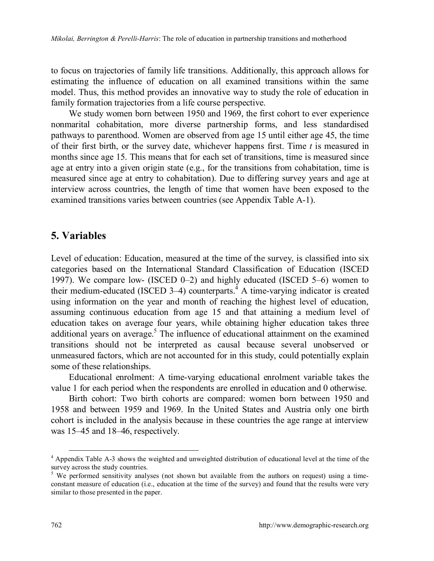to focus on trajectories of family life transitions. Additionally, this approach allows for estimating the influence of education on all examined transitions within the same model. Thus, this method provides an innovative way to study the role of education in family formation trajectories from a life course perspective.

We study women born between 1950 and 1969, the first cohort to ever experience nonmarital cohabitation, more diverse partnership forms, and less standardised pathways to parenthood. Women are observed from age 15 until either age 45, the time of their first birth, or the survey date, whichever happens first. Time *t* is measured in months since age 15. This means that for each set of transitions, time is measured since age at entry into a given origin state (e.g., for the transitions from cohabitation, time is measured since age at entry to cohabitation). Due to differing survey years and age at interview across countries, the length of time that women have been exposed to the examined transitions varies between countries (see Appendix Table A-1).

## **5. Variables**

Level of education: Education, measured at the time of the survey, is classified into six categories based on the International Standard Classification of Education (ISCED 1997). We compare low- (ISCED 0–2) and highly educated (ISCED 5–6) women to their medium-educated (ISCED 3-4) counterparts.<sup>4</sup> [A](#page-11-0) time-varying indicator is created using information on the year and month of reaching the highest level of education, assuming continuous education from age 15 and that attaining a medium level of education takes on average four years, while obtaining higher education takes three additional years on average.<sup>[5](#page-11-1)</sup> The influence of educational attainment on the examined transitions should not be interpreted as causal because several unobserved or unmeasured factors, which are not accounted for in this study, could potentially explain some of these relationships.

Educational enrolment: A time-varying educational enrolment variable takes the value 1 for each period when the respondents are enrolled in education and 0 otherwise.

Birth cohort: Two birth cohorts are compared: women born between 1950 and 1958 and between 1959 and 1969. In the United States and Austria only one birth cohort is included in the analysis because in these countries the age range at interview was 15–45 and 18–46, respectively.

<span id="page-11-0"></span><sup>4</sup> Appendix Table A-3 shows the weighted and unweighted distribution of educational level at the time of the

<span id="page-11-1"></span>survey across the study countries.<br><sup>5</sup> We performed sensitivity analyses (not shown but available from the authors on request) using a timeconstant measure of education (i.e., education at the time of the survey) and found that the results were very similar to those presented in the paper.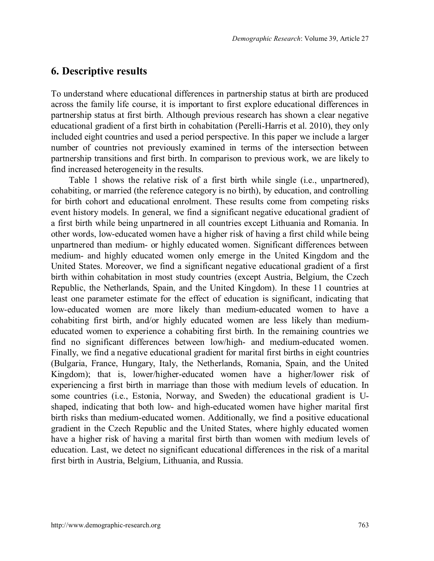## **6. Descriptive results**

To understand where educational differences in partnership status at birth are produced across the family life course, it is important to first explore educational differences in partnership status at first birth. Although previous research has shown a clear negative educational gradient of a first birth in cohabitation (Perelli-Harris et al. 2010), they only included eight countries and used a period perspective. In this paper we include a larger number of countries not previously examined in terms of the intersection between partnership transitions and first birth. In comparison to previous work, we are likely to find increased heterogeneity in the results.

Table 1 shows the relative risk of a first birth while single (i.e., unpartnered), cohabiting, or married (the reference category is no birth), by education, and controlling for birth cohort and educational enrolment. These results come from competing risks event history models. In general, we find a significant negative educational gradient of a first birth while being unpartnered in all countries except Lithuania and Romania. In other words, low-educated women have a higher risk of having a first child while being unpartnered than medium- or highly educated women. Significant differences between medium- and highly educated women only emerge in the United Kingdom and the United States. Moreover, we find a significant negative educational gradient of a first birth within cohabitation in most study countries (except Austria, Belgium, the Czech Republic, the Netherlands, Spain, and the United Kingdom). In these 11 countries at least one parameter estimate for the effect of education is significant, indicating that low-educated women are more likely than medium-educated women to have a cohabiting first birth, and/or highly educated women are less likely than mediumeducated women to experience a cohabiting first birth. In the remaining countries we find no significant differences between low/high- and medium-educated women. Finally, we find a negative educational gradient for marital first births in eight countries (Bulgaria, France, Hungary, Italy, the Netherlands, Romania, Spain, and the United Kingdom); that is, lower/higher-educated women have a higher/lower risk of experiencing a first birth in marriage than those with medium levels of education. In some countries (i.e., Estonia, Norway, and Sweden) the educational gradient is Ushaped, indicating that both low- and high-educated women have higher marital first birth risks than medium-educated women. Additionally, we find a positive educational gradient in the Czech Republic and the United States, where highly educated women have a higher risk of having a marital first birth than women with medium levels of education. Last, we detect no significant educational differences in the risk of a marital first birth in Austria, Belgium, Lithuania, and Russia.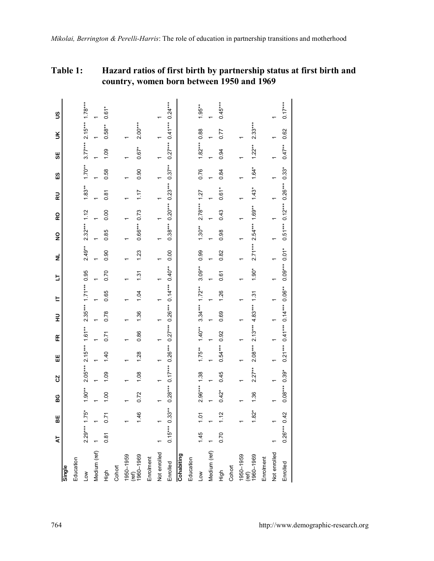#### **Table 1: Hazard ratios of first birth by partnership status at first birth and country, women born between 1950 and 1969**

|                    | 4               | 볾                | မ္မ            | S         | Ш                                                          | Æ                                      | 긒                | 느                      | b              | ž                        | $\overline{2}$ | 6                                      | 配        | 53       | 55             | š                             | S         |
|--------------------|-----------------|------------------|----------------|-----------|------------------------------------------------------------|----------------------------------------|------------------|------------------------|----------------|--------------------------|----------------|----------------------------------------|----------|----------|----------------|-------------------------------|-----------|
| Single             |                 |                  |                |           |                                                            |                                        |                  |                        |                |                          |                |                                        |          |          |                |                               |           |
| Education          |                 |                  |                |           |                                                            |                                        |                  |                        |                |                          |                |                                        |          |          |                |                               |           |
| Low                | $2.29***$ 1.75* |                  | $1.90**$       | $2.05***$ | $2.15***$ 1.61**                                           |                                        |                  | $2.35***$ 1.71*** 0.95 |                | $2.49**$                 | $2.32***$ 1.12 |                                        | $1.83**$ | $1.70**$ |                | $3.77***$ 2.15*** 1.78***     |           |
| Medium (ref)       |                 |                  |                |           |                                                            |                                        |                  |                        |                |                          |                |                                        |          |          |                |                               |           |
| tigh               | 0.81            | 0.71             | 1.00           | 1.09      | 1.40                                                       | 0.71                                   | 0.78             | 0.65                   | 0.70           | 0.90                     | 0.85           | 0.00                                   | 0.81     | 0.58     | 1.09           | $0.58**$                      | $0.61*$   |
| Cohort             |                 |                  |                |           |                                                            |                                        |                  |                        |                |                          |                |                                        |          |          |                |                               |           |
| 1950-1959<br>(ref) |                 |                  |                |           |                                                            |                                        |                  |                        |                |                          |                |                                        |          |          |                |                               |           |
| 1960-1969          |                 | 1.46             | 0.72           | 1.08      | 1.28                                                       | 0.86                                   | 1.36             | 1.04                   | $\frac{31}{2}$ | 123                      | $0.66***$      | 0.73                                   | 117      | 0.90     | $0.67*$        | $2.00***$                     |           |
| Enrolment          |                 |                  |                |           |                                                            |                                        |                  |                        |                |                          |                |                                        |          |          |                |                               |           |
| Not enrolled       |                 |                  |                |           |                                                            |                                        |                  |                        |                |                          |                |                                        |          |          |                |                               |           |
| Enrolled           |                 | $0.15***$ 0.33** |                |           | $0.28***$ $0.17***$ $0.26***$ $0.26***$ $0.14***$ $0.40**$ |                                        |                  |                        |                | 0.00                     |                | $0.38***$ $0.20***$ $0.23***$ $0.37**$ |          |          |                | $0.27***$ $0.41***$ $0.24***$ |           |
| Cohabiting         |                 |                  |                |           |                                                            |                                        |                  |                        |                |                          |                |                                        |          |          |                |                               |           |
| Education          |                 |                  |                |           |                                                            |                                        |                  |                        |                |                          |                |                                        |          |          |                |                               |           |
| Low                | 1.45            | 101              | $2.96***$ 1.38 |           | $1.75***$                                                  | $1.40**$                               | $3.34***1.72***$ |                        | $3.09***$      | 0.99                     | $1.30**$       | $2.78***$ 1.27                         |          | 0.76     | $1.82***$ 0.88 |                               | $1.95***$ |
| Medium (ref)       |                 |                  |                |           |                                                            |                                        |                  |                        |                |                          |                |                                        |          |          |                |                               |           |
| High               | 0.70            | 1.12             | $0.42*$        | 0.45      | $0.54***$ 0.92                                             |                                        | 0.69             | 1.26                   | 0.61           | 0.82                     | 0.98           | 0.43                                   | $0.61*$  | 0.84     | 0.94           | 0.77                          | $0.45***$ |
| Cohort             |                 |                  |                |           |                                                            |                                        |                  |                        |                |                          |                |                                        |          |          |                |                               |           |
| 1950-1959<br>(ref) |                 |                  |                |           |                                                            |                                        |                  |                        |                |                          |                |                                        |          |          |                |                               |           |
| 1960-1969          |                 | $1.82*$          | 1.36           | $2.27**$  |                                                            | $2.08***$ 2.13*** 4.83*** 1.31         |                  |                        | $1.90*$        | $2.71***$ 2.54*** 1.69** |                |                                        | $1.43*$  | 1.64*    | $1.22**$       | $2.33***$                     |           |
| Enrolment          |                 |                  |                |           |                                                            |                                        |                  |                        |                |                          |                |                                        |          |          |                |                               |           |
| Not enrolled       |                 |                  |                |           |                                                            |                                        |                  |                        |                |                          |                |                                        |          |          |                |                               |           |
| Enrolled           | $0.26***0.42$   |                  | $0.08***0.39*$ |           |                                                            | $0.21***$ $0.41***$ $0.14***$ $0.06**$ |                  |                        | $0.09***0.01*$ |                          |                | $0.51***$ $0.12***$ $0.26***$ $0.33*$  |          |          | $0.47***$      | 0.62                          | $0.17***$ |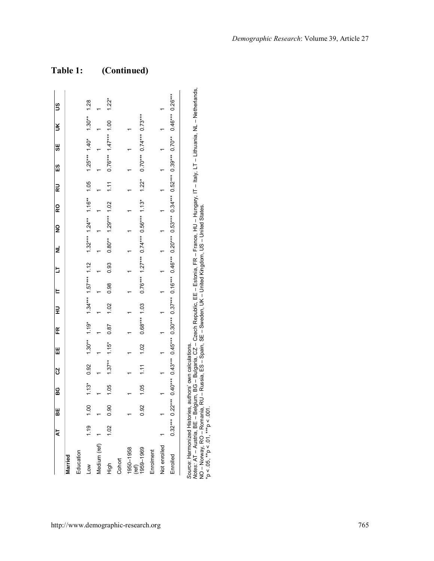|                                                                                                                                                                                                                           | kT   | u<br>86                                                                                                                                                                                                                                                                                       | BG CZ |                | W | e<br>E                                                     | ヒ ヒ ミ     |      | 로<br> | 2 | <b>Q</b>              | ≌<br>                       | <sub>ជី</sub>                                                           | .<br>ម | š | S       |
|---------------------------------------------------------------------------------------------------------------------------------------------------------------------------------------------------------------------------|------|-----------------------------------------------------------------------------------------------------------------------------------------------------------------------------------------------------------------------------------------------------------------------------------------------|-------|----------------|---|------------------------------------------------------------|-----------|------|-------|---|-----------------------|-----------------------------|-------------------------------------------------------------------------|--------|---|---------|
| Married                                                                                                                                                                                                                   |      |                                                                                                                                                                                                                                                                                               |       |                |   |                                                            |           |      |       |   |                       |                             |                                                                         |        |   |         |
| Education                                                                                                                                                                                                                 |      |                                                                                                                                                                                                                                                                                               |       |                |   |                                                            |           |      |       |   |                       |                             |                                                                         |        |   |         |
| <b>NOT</b>                                                                                                                                                                                                                |      | $1.19$ $1.13$ $0.92$ $1.30$ <sup>14</sup> $1.95$ $1.57$ <sup>144</sup> $1.12$ $1.32$ <sup>244</sup> $1.22$ <sup>244</sup> $1.24$ <sup>44</sup> $1.24$ <sup>44</sup> $1.46$ <sup>4</sup> $1.65$ $1.25$ <sup>44</sup> $1.40$ <sup>4</sup> $1.30$ <sup>44</sup> $1.28$                           |       |                |   |                                                            |           |      |       |   |                       |                             |                                                                         |        |   |         |
| Medium (ref)                                                                                                                                                                                                              |      |                                                                                                                                                                                                                                                                                               |       | $\overline{a}$ |   | $\begin{array}{ccccccccc}\n1 & 1 & 1 & 1 & 1\n\end{array}$ |           |      |       |   | $1 \qquad 1 \qquad 1$ |                             |                                                                         |        |   |         |
| 들                                                                                                                                                                                                                         | 1.02 | 0.90                                                                                                                                                                                                                                                                                          | 1.05  |                |   | $1.37**$ $1.15*$ 0.87                                      | 1.02 0.98 | 0.93 |       |   |                       | $0.80***$ 1.29*** 1.02 1.11 | $0.76***$ 1.47*** 1.00                                                  |        |   | $1.22*$ |
| Cohort                                                                                                                                                                                                                    |      |                                                                                                                                                                                                                                                                                               |       |                |   |                                                            |           |      |       |   |                       |                             |                                                                         |        |   |         |
| 1950-1958                                                                                                                                                                                                                 |      |                                                                                                                                                                                                                                                                                               |       |                |   |                                                            |           |      |       |   |                       |                             |                                                                         |        |   |         |
| 1959-1969<br>(ref)                                                                                                                                                                                                        |      | 0.92                                                                                                                                                                                                                                                                                          | 1.05  | 1.11           |   | $1.02$ $0.68***$ 1.03                                      |           |      |       |   |                       |                             | $0.76***$ 1.27*** $0.74***$ 0.56*** 1.13* 1.22* 0.70*** 0.74*** 0.73*** |        |   |         |
| Enrolment                                                                                                                                                                                                                 |      |                                                                                                                                                                                                                                                                                               |       |                |   |                                                            |           |      |       |   |                       |                             |                                                                         |        |   |         |
| Not enrolled                                                                                                                                                                                                              |      |                                                                                                                                                                                                                                                                                               |       |                |   |                                                            |           |      |       |   |                       |                             |                                                                         |        |   |         |
| Enrolled                                                                                                                                                                                                                  |      | $0.32^{***}$ $0.42^{***}$ $0.43^{***}$ $0.45^{***}$ $0.30^{***}$ $0.52^{***}$ $0.52^{***}$ $0.52^{***}$ $0.52^{***}$ $0.52^{***}$ $0.52^{***}$ $0.46^{***}$ $0.52^{***}$ $0.46^{***}$ $0.52^{***}$ $0.52^{***}$ $0.52^{***}$ $0.52^{***}$ $0.52^{***}$ $0.52^{***}$ $0.52^{***}$ $0.52^{***}$ |       |                |   |                                                            |           |      |       |   |                       |                             |                                                                         |        |   |         |
| Motes: AT – Austria, BE – Belgium, BG – Bulgaria, CZ – Czech Republic, EE – Estonia, FR – France, HU – Hungary, IT – Italy, LT – Lithuania, NL – Netherlands,<br>Source: Harmonized Histories, authors' own calculations. |      |                                                                                                                                                                                                                                                                                               |       |                |   |                                                            |           |      |       |   |                       |                             |                                                                         |        |   |         |

*Notes:* AT – Austria, BE – Belgium, BG – Bulgaria, CZ – Czech Republic, EE – Estonia, FR – France, HU – Hungary, IT – Italy, LT – Lithuania, NL – Netherlands,  $\equiv$ Lithuania, J – Italy, Source: Harmonized Histories, authors' own calculations.<br>Wores: AT – Austria, BE – Belgium, BG – Bulgaria, CZ – Czech Republic, EE – Estoria, FR – France, HU – Hungary, IT -<br>^ Mores: AT – Austria, BE – Belgium, BG – Bulga NO – Norway, RO – Romania, RU – Russia, ES – Spain, SE – Sweden, UK – United Kingdom, US – United States. \*p < .05, \*\*p < .01, \*\*\*p < .001.

# **Table 1: (Continued)**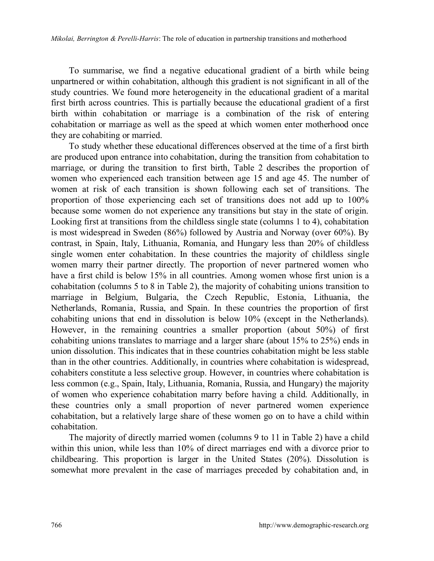To summarise, we find a negative educational gradient of a birth while being unpartnered or within cohabitation, although this gradient is not significant in all of the study countries. We found more heterogeneity in the educational gradient of a marital first birth across countries. This is partially because the educational gradient of a first birth within cohabitation or marriage is a combination of the risk of entering cohabitation or marriage as well as the speed at which women enter motherhood once they are cohabiting or married.

To study whether these educational differences observed at the time of a first birth are produced upon entrance into cohabitation, during the transition from cohabitation to marriage, or during the transition to first birth, Table 2 describes the proportion of women who experienced each transition between age 15 and age 45. The number of women at risk of each transition is shown following each set of transitions. The proportion of those experiencing each set of transitions does not add up to 100% because some women do not experience any transitions but stay in the state of origin. Looking first at transitions from the childless single state (columns 1 to 4), cohabitation is most widespread in Sweden (86%) followed by Austria and Norway (over 60%). By contrast, in Spain, Italy, Lithuania, Romania, and Hungary less than 20% of childless single women enter cohabitation. In these countries the majority of childless single women marry their partner directly. The proportion of never partnered women who have a first child is below 15% in all countries. Among women whose first union is a cohabitation (columns 5 to 8 in Table 2), the majority of cohabiting unions transition to marriage in Belgium, Bulgaria, the Czech Republic, Estonia, Lithuania, the Netherlands, Romania, Russia, and Spain. In these countries the proportion of first cohabiting unions that end in dissolution is below 10% (except in the Netherlands). However, in the remaining countries a smaller proportion (about 50%) of first cohabiting unions translates to marriage and a larger share (about 15% to 25%) ends in union dissolution. This indicates that in these countries cohabitation might be less stable than in the other countries. Additionally, in countries where cohabitation is widespread, cohabiters constitute a less selective group. However, in countries where cohabitation is less common (e.g., Spain, Italy, Lithuania, Romania, Russia, and Hungary) the majority of women who experience cohabitation marry before having a child. Additionally, in these countries only a small proportion of never partnered women experience cohabitation, but a relatively large share of these women go on to have a child within cohabitation.

The majority of directly married women (columns 9 to 11 in Table 2) have a child within this union, while less than 10% of direct marriages end with a divorce prior to childbearing. This proportion is larger in the United States (20%). Dissolution is somewhat more prevalent in the case of marriages preceded by cohabitation and, in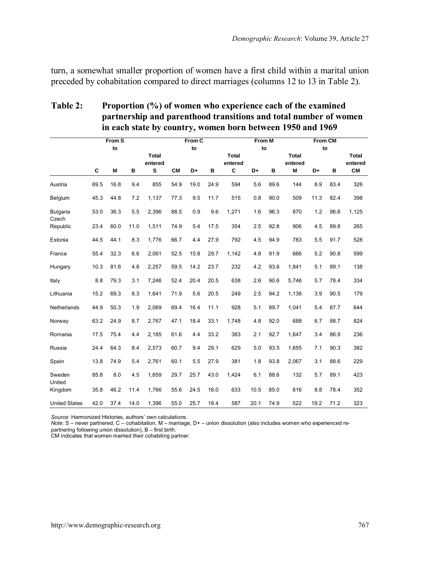turn, a somewhat smaller proportion of women have a first child within a marital union preceded by cohabitation compared to direct marriages (columns 12 to 13 in Table 2).

|                      |      | From S |      |                  |      | From C |      |                         | <b>From M</b> |      |                  | <b>From CM</b> |      |                  |
|----------------------|------|--------|------|------------------|------|--------|------|-------------------------|---------------|------|------------------|----------------|------|------------------|
|                      |      | to     |      |                  |      | to     |      |                         | to            |      |                  |                | to   |                  |
|                      |      |        |      | Total<br>entered |      |        |      | <b>Total</b><br>entered |               |      | Total<br>entered |                |      | Total<br>entered |
|                      | C    | M      | в    | s                | CМ   | D+     | в    | С                       | D+            | в    | M                | D+             | в    | <b>CM</b>        |
| Austria              | 69.5 | 16.8   | 9.4  | 855              | 54.9 | 19.0   | 24.9 | 594                     | 5.6           | 89.6 | 144              | 8.9            | 83.4 | 326              |
| Belgium              | 45.3 | 44.8   | 7.2  | 1,137            | 77.3 | 9.5    | 11.7 | 515                     | 0.8           | 90.0 | 509              | 11.3           | 82.4 | 398              |
| Bulgaria<br>Czech    | 53.0 | 36.3   | 5.5  | 2,396            | 88.5 | 0.9    | 9.6  | 1,271                   | 1.6           | 96.3 | 870              | 1.2            | 96.6 | 1,125            |
| Republic             | 23.4 | 60.0   | 11.0 | 1,511            | 74.9 | 5.4    | 17.5 | 354                     | 2.5           | 92.8 | 906              | 4.5            | 89.8 | 265              |
| Estonia              | 44.5 | 44.1   | 8.3  | 1,776            | 66.7 | 4.4    | 27.9 | 792                     | 4.5           | 94.9 | 783              | 5.5            | 91.7 | 528              |
| France               | 55.4 | 32.3   | 6.6  | 2.061            | 52.5 | 15.8   | 29.7 | 1.142                   | 4.8           | 91.9 | 666              | 5.2            | 90.8 | 599              |
| Hungary              | 10.3 | 81.6   | 4.8  | 2,257            | 59.5 | 14.2   | 23.7 | 232                     | 4.2           | 93.6 | 1,841            | 5.1            | 89.1 | 138              |
| Italy                | 8.8  | 79.3   | 3.1  | 7,246            | 52.4 | 20.4   | 20.5 | 638                     | 2.6           | 90.6 | 5.746            | 5.7            | 78.4 | 334              |
| Lithuania            | 15.2 | 69.3   | 8.3  | 1.641            | 71.9 | 5.6    | 20.5 | 249                     | 2.5           | 94.2 | 1.138            | 3.9            | 90.5 | 179              |
| Netherlands          | 44.9 | 50.3   | 1.9  | 2,069            | 69.4 | 16.4   | 11.1 | 928                     | 5.1           | 89.7 | 1,041            | 5.4            | 87.7 | 644              |
| Norway               | 63.2 | 24.9   | 8.7  | 2,767            | 47.1 | 18.4   | 33.1 | 1.748                   | 4.8           | 92.0 | 688              | 6.7            | 88.7 | 824              |
| Romania              | 17.5 | 75.4   | 4.4  | 2,185            | 61.6 | 4.4    | 33.2 | 383                     | 2.1           | 92.7 | 1,647            | 3.4            | 86.9 | 236              |
| Russia               | 24.4 | 64.3   | 8.4  | 2,573            | 60.7 | 9.4    | 29.1 | 629                     | 5.0           | 93.5 | 1,655            | 7.1            | 90.3 | 382              |
| Spain                | 13.8 | 74.9   | 5.4  | 2.761            | 60.1 | 5.5    | 27.9 | 381                     | 1.8           | 93.8 | 2.067            | 3.1            | 88.6 | 229              |
| Sweden<br>United     | 85.8 | 8.0    | 4.5  | 1,659            | 29.7 | 25.7   | 43.0 | 1,424                   | 6.1           | 88.6 | 132              | 5.7            | 89.1 | 423              |
| Kingdom              | 35.8 | 46.2   | 11.4 | 1.766            | 55.6 | 24.5   | 16.0 | 633                     | 10.5          | 85.0 | 816              | 8.8            | 78.4 | 352              |
| <b>United States</b> | 42.0 | 37.4   | 14.0 | 1,396            | 55.0 | 25.7   | 18.4 | 587                     | 20.1          | 74.9 | 522              | 19.2           | 71.2 | 323              |

#### **Table 2: Proportion (%) of women who experience each of the examined partnership and parenthood transitions and total number of women**  $\frac{1}{10000} + \frac{10000}{10000} + \frac{10000}{10000}$

*Source*: Harmonized Histories, authors' own calculations.

*Note*: S – never partnered, C – cohabitation, M – marriage, D+ – union dissolution (also includes women who experienced re-

partnering following union dissolution), B – first birth. CM indicates that women married their cohabiting partner.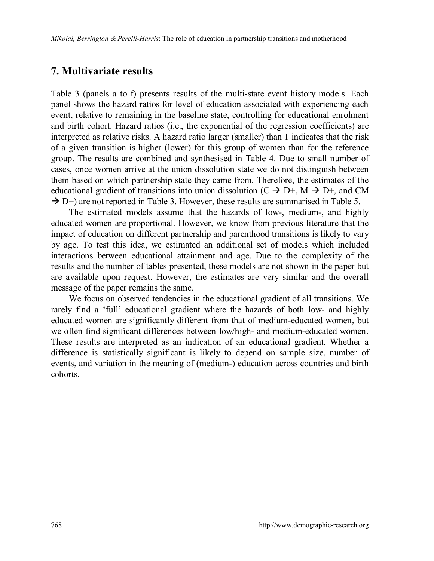## **7. Multivariate results**

Table 3 (panels a to f) presents results of the multi-state event history models. Each panel shows the hazard ratios for level of education associated with experiencing each event, relative to remaining in the baseline state, controlling for educational enrolment and birth cohort. Hazard ratios (i.e., the exponential of the regression coefficients) are interpreted as relative risks. A hazard ratio larger (smaller) than 1 indicates that the risk of a given transition is higher (lower) for this group of women than for the reference group. The results are combined and synthesised in Table 4. Due to small number of cases, once women arrive at the union dissolution state we do not distinguish between them based on which partnership state they came from. Therefore, the estimates of the educational gradient of transitions into union dissolution ( $C \rightarrow D^+$ ,  $M \rightarrow D^+$ , and CM  $\rightarrow$  D+) are not reported in Table 3. However, these results are summarised in Table 5.

The estimated models assume that the hazards of low-, medium-, and highly educated women are proportional. However, we know from previous literature that the impact of education on different partnership and parenthood transitions is likely to vary by age. To test this idea, we estimated an additional set of models which included interactions between educational attainment and age. Due to the complexity of the results and the number of tables presented, these models are not shown in the paper but are available upon request. However, the estimates are very similar and the overall message of the paper remains the same.

We focus on observed tendencies in the educational gradient of all transitions. We rarely find a 'full' educational gradient where the hazards of both low- and highly educated women are significantly different from that of medium-educated women, but we often find significant differences between low/high- and medium-educated women. These results are interpreted as an indication of an educational gradient. Whether a difference is statistically significant is likely to depend on sample size, number of events, and variation in the meaning of (medium-) education across countries and birth cohorts.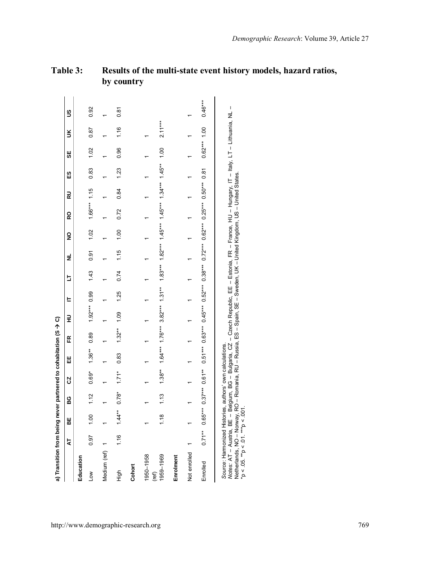| a) Transition from being never partnered to cohabitation (S > C)                                                                                                                                                                                                                                                                                                                      |      |           |         |         |                                                                                                           |                |                |      |      |      |      |                |      |      |                |           |                                                                                                                                                                                                                                                                                                                                                                                                                |
|---------------------------------------------------------------------------------------------------------------------------------------------------------------------------------------------------------------------------------------------------------------------------------------------------------------------------------------------------------------------------------------|------|-----------|---------|---------|-----------------------------------------------------------------------------------------------------------|----------------|----------------|------|------|------|------|----------------|------|------|----------------|-----------|----------------------------------------------------------------------------------------------------------------------------------------------------------------------------------------------------------------------------------------------------------------------------------------------------------------------------------------------------------------------------------------------------------------|
|                                                                                                                                                                                                                                                                                                                                                                                       | Ā    | 빎         | នួ      | S       | Ш                                                                                                         | Æ              | 로              | E    | 5    | ž    | ş    | ě              | 교    | 53   | 5              | š         | S                                                                                                                                                                                                                                                                                                                                                                                                              |
| Education                                                                                                                                                                                                                                                                                                                                                                             |      |           |         |         |                                                                                                           |                |                |      |      |      |      |                |      |      |                |           |                                                                                                                                                                                                                                                                                                                                                                                                                |
| Low                                                                                                                                                                                                                                                                                                                                                                                   | 0.97 | 1.00      | 1.12    | $0.69*$ | $1.36***$                                                                                                 | 0.89           | $1.92***$ 0.99 |      | 1.43 | 0.91 | 1.02 | $1.66***$ 1.15 |      | 0.83 | 1.02           | 0.87      | 0.92                                                                                                                                                                                                                                                                                                                                                                                                           |
| Medium (ref)                                                                                                                                                                                                                                                                                                                                                                          |      |           |         |         |                                                                                                           |                |                |      |      |      |      |                |      |      |                |           |                                                                                                                                                                                                                                                                                                                                                                                                                |
| tigh                                                                                                                                                                                                                                                                                                                                                                                  | 1.16 | $1.44***$ | $0.78*$ | $1.71*$ | 0.83                                                                                                      | $1.32***$ 1.09 |                | 1.25 | 0.74 | 1.15 | 1.00 | 0.72           | 0.84 | 1.23 | 0.96           | 1.16      | 0.81                                                                                                                                                                                                                                                                                                                                                                                                           |
| Cohort                                                                                                                                                                                                                                                                                                                                                                                |      |           |         |         |                                                                                                           |                |                |      |      |      |      |                |      |      |                |           |                                                                                                                                                                                                                                                                                                                                                                                                                |
| 1950-1958                                                                                                                                                                                                                                                                                                                                                                             |      |           |         |         |                                                                                                           |                |                |      |      |      |      |                |      |      |                |           |                                                                                                                                                                                                                                                                                                                                                                                                                |
| 1959-1969<br>(ref)                                                                                                                                                                                                                                                                                                                                                                    |      | 1.18      | 1.13    |         | 1.38** 1.64*** 1.76*** 3.82*** 1.31** 1.83*** 1.82*** 1.45*** 1.34*** 1.34** 1.00                         |                |                |      |      |      |      |                |      |      |                | $2.11***$ |                                                                                                                                                                                                                                                                                                                                                                                                                |
| Enrolment                                                                                                                                                                                                                                                                                                                                                                             |      |           |         |         |                                                                                                           |                |                |      |      |      |      |                |      |      |                |           |                                                                                                                                                                                                                                                                                                                                                                                                                |
| Not enrolled                                                                                                                                                                                                                                                                                                                                                                          |      |           |         |         |                                                                                                           |                |                |      |      |      |      |                |      |      |                |           |                                                                                                                                                                                                                                                                                                                                                                                                                |
| Enrolled                                                                                                                                                                                                                                                                                                                                                                              |      |           |         |         | $0.71**$ $0.65***$ $0.37***$ $0.51***$ $0.63***$ $0.45***$ $0.52***$ $0.38***$ $0.25***$ $0.50***$ $0.81$ |                |                |      |      |      |      |                |      |      | $0.62***$ 1.00 |           | $0.46***$                                                                                                                                                                                                                                                                                                                                                                                                      |
| Motes: AT – Austria, BE – Belgium, BG – Bulgaria, CZ – Czech Republic, EE – Estoria, FR – France, HU – Hungary, IT – Lithu, LT – Lithuania, NL<br>Netherlands, NO - Noway, RO - Romania, RU - Russia, ES - Spain, SE - Sweden, UK - United Kingdom, US - United States.<br>Source: Harmonized Histories, authors' own calculations.<br>$^*p < .05.$ $^{**}p < .01.$ $^{***}p < .001.$ |      |           |         |         |                                                                                                           |                |                |      |      |      |      |                |      |      |                |           | $\begin{array}{c} \rule{0pt}{2ex} \rule{0pt}{2ex} \rule{0pt}{2ex} \rule{0pt}{2ex} \rule{0pt}{2ex} \rule{0pt}{2ex} \rule{0pt}{2ex} \rule{0pt}{2ex} \rule{0pt}{2ex} \rule{0pt}{2ex} \rule{0pt}{2ex} \rule{0pt}{2ex} \rule{0pt}{2ex} \rule{0pt}{2ex} \rule{0pt}{2ex} \rule{0pt}{2ex} \rule{0pt}{2ex} \rule{0pt}{2ex} \rule{0pt}{2ex} \rule{0pt}{2ex} \rule{0pt}{2ex} \rule{0pt}{2ex} \rule{0pt}{2ex} \rule{0pt}{$ |

## **Table 3: Results of the multi-state event history models, hazard ratios, by country**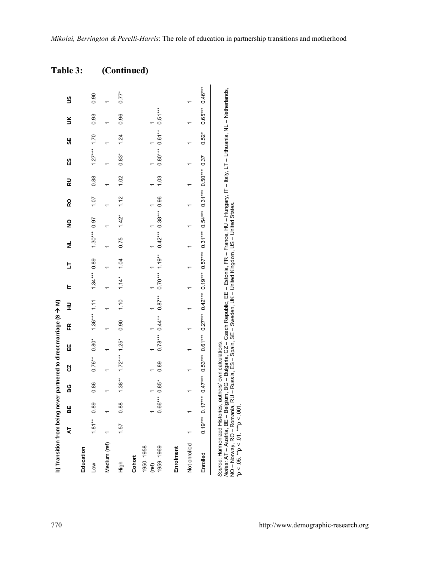|                                 | ź        | 벎         | នួ        | S                 | Ш       | 또                                       | 로    | E              | b    | ź              | ş                                                                                                                                                     | 6<br>K | 릻    | <u>ណ</u>       | 56       | š         | S                 |
|---------------------------------|----------|-----------|-----------|-------------------|---------|-----------------------------------------|------|----------------|------|----------------|-------------------------------------------------------------------------------------------------------------------------------------------------------|--------|------|----------------|----------|-----------|-------------------|
|                                 |          |           |           |                   |         |                                         |      |                |      |                |                                                                                                                                                       |        |      |                |          |           |                   |
| Education                       |          |           |           |                   |         |                                         |      |                |      |                |                                                                                                                                                       |        |      |                |          |           |                   |
| Low                             | $1.81**$ | 0.89      | 0.86      | $0.76***$         | $0.80*$ | $1.36***$ 1.11                          |      | $1.34***$ 0.89 |      | $1.30***$ 0.97 |                                                                                                                                                       | 1.07   | 0.88 | $1.27***$ 1.70 |          | 0.93      | 0.90              |
| Medium (ref)                    |          |           |           |                   |         |                                         |      |                |      |                |                                                                                                                                                       |        |      |                |          |           |                   |
| 흥                               | 1.57     | 0.88      | $1.38***$ | $1.72***$ $1.25*$ |         | 0.90                                    | 1.10 | $1.14*$        | 1.04 | 0.75           | $1.42*$                                                                                                                                               | 1.12   | 1.02 | $0.83*$        | 1.24     | 0.96      | $0.77*$           |
| Cohort                          |          |           |           |                   |         |                                         |      |                |      |                |                                                                                                                                                       |        |      |                |          |           |                   |
| 1950-1958<br>1959-1969<br>(ref) |          | $0.66***$ | $0.85*$   | 0.89              |         | $0.78***$ $0.87***$ $0.70***$ $1.19***$ |      |                |      |                | $0.42***$ 0.38*** 0.96                                                                                                                                |        | 1.03 | $0.80***$      | $0.61**$ | $0.51***$ |                   |
|                                 |          |           |           |                   |         |                                         |      |                |      |                |                                                                                                                                                       |        |      |                |          |           |                   |
| Enrolment                       |          |           |           |                   |         |                                         |      |                |      |                |                                                                                                                                                       |        |      |                |          |           |                   |
| Not enrolled                    |          |           |           |                   |         |                                         |      |                |      |                |                                                                                                                                                       |        |      |                |          |           |                   |
| Enrolled                        |          |           |           |                   |         |                                         |      |                |      |                | $0.57***$ $0.57***$ $0.53***$ $0.53***$ $0.57***$ $0.57***$ $0.57***$ $0.57***$ $0.54***$ $0.57***$ $0.57***$ $0.57***$ $0.57***$ $0.57***$ $0.57***$ |        |      |                | $0.52*$  |           | $0.65***$ 0.46*** |

Source: Harmonized Histories, authors' own calculations.<br>Motes: AT – Austria, BE – Belgium, BG – Bulgaria, CZ – Czech Republic, EE – Estoria, FR – France, HU – Hungary, IT – Italy, LT – Lithuania, NL – Netherlands,<br>Motes: *Notes:* AT – Austria, BE – Belgium, BG – Bulgaria, CZ – Czech Republic, EE – Estonia, FR – France, HU – Hungary, IT – Italy, LT – Lithuania, NL – Netherlands, NO – Norway, RO – Romania, RU – Russia, ES – Spain, SE – Sweden, UK – United Kingdom, US – United States. \*p < .05. \*\*p < .01. \*\*\*p < .001.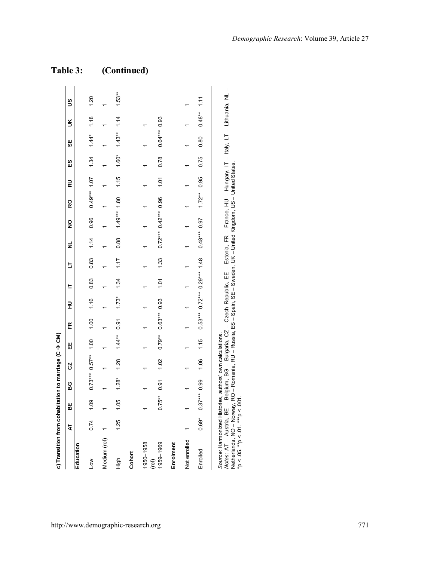| c) Transition from cohabitation to marriage (C → CM)     |         |                |                       |      |           |                                    |         |      |      |                        |                |                |      |       |                |           |                 |
|----------------------------------------------------------|---------|----------------|-----------------------|------|-----------|------------------------------------|---------|------|------|------------------------|----------------|----------------|------|-------|----------------|-----------|-----------------|
|                                                          | Ā       | 벎              | 9                     | 2    | 出         | Æ                                  | 긒       | E    | 5    | ž                      | ş              | 5              | 릾    | 53    | မ္တ            | š         | S               |
| Education                                                |         |                |                       |      |           |                                    |         |      |      |                        |                |                |      |       |                |           |                 |
| Low                                                      | 0.74    | 1.09           | $0.73***$ 0.57** 1.00 |      |           | 1.00                               | 1.16    | 0.83 | 0.83 | 1.14                   | 0.96           | $0.49***$ 1.07 |      | 1.34  | $1.44*$        | 1.18      | 1.20            |
| Medium (ref)                                             |         |                |                       |      |           |                                    |         |      |      |                        |                |                |      |       |                |           |                 |
| figh                                                     | 1.25    | 1.05           | $1.28*$               | 1.28 | $1.44***$ | 0.91                               | $1.73*$ | 1.34 | 1.17 | 0.88                   | $1.49***$ 1.80 |                | 1.15 | 1.60* | $1.43**$ 1.14  |           | $1.53**$        |
| Cohort                                                   |         |                |                       |      |           |                                    |         |      |      |                        |                |                |      |       |                |           |                 |
| 1950-1958                                                |         |                |                       |      |           |                                    |         |      |      |                        |                |                |      |       |                |           |                 |
| 1959-1969<br>(ref)                                       |         | $0.75***$      | 0.91                  | 1.02 |           | $0.79**$ $0.63***$ 0.93            |         | 1.01 | 1.33 | $0.72***$ 0.42*** 0.96 |                |                | 1.01 | 0.78  | $0.64***$ 0.93 |           |                 |
| Enrolment                                                |         |                |                       |      |           |                                    |         |      |      |                        |                |                |      |       |                |           |                 |
| Not enrolled                                             |         |                |                       |      |           |                                    |         |      |      |                        |                |                |      |       |                |           |                 |
| Enrolled                                                 | $0.69*$ | $0.37***$ 0.99 |                       | 1.06 | 1.15      | $0.53***$ $0.72***$ $0.29***$ 1.48 |         |      |      | $0.48***$ 0.97         |                | $1.72***$      | 0.95 | 0.75  | 0.80           | $0.48***$ | $\frac{11}{11}$ |
| Source: Harmonized Histories, authors' own calculations. |         |                |                       |      |           |                                    |         |      |      |                        |                |                |      |       |                |           |                 |

# *Notes:* AT – Austria, BE – Belgium, BG – Bulgaria, CZ – Czech Republic, EE – Estonia, FR – France, HU – Hungary, IT – Italy, LT – Lithuania, NL – *Notes: Α*Τ – Austria, ΒΕ – Belgium, ΒG – Bulgaria, CZ – Czech Republic, ΕΕ – Estonia, FR – France, HU – Hungary, IT – Italy, LT – Lithuania, NL<br>Netherlands, NO – Norway, RO – Romania, RU – Russia, ES – Spain, SE – Swede Netherlands, NO – Norway, RO – Romania, RU – Russia, ES – Spain, SE – Sweden, UK – United Kingdom, US – United States. *Source*: Harmonized Histories, authors' own calculations. \*p < .05. \*\*p < .01. \*\*\*p < .001.

 $\mathbf I$ 

#### *Demographic Research*: Volume 39, Article 27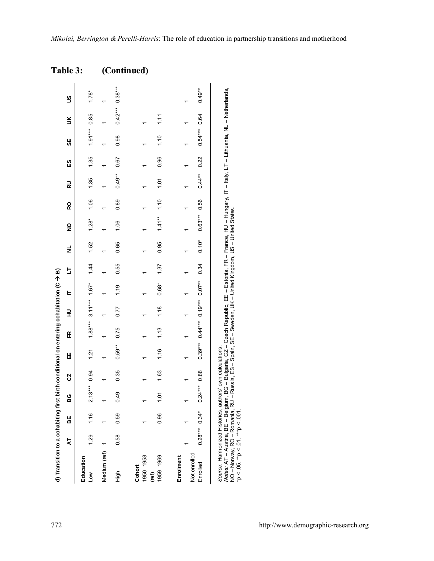| d) Transition to a cohabiting first birth conditional on entering cohabitation (C → B) |                 |      |                |      |           |      |                                        |         |               |         |                |      |           |          |                |                   |          |
|----------------------------------------------------------------------------------------|-----------------|------|----------------|------|-----------|------|----------------------------------------|---------|---------------|---------|----------------|------|-----------|----------|----------------|-------------------|----------|
|                                                                                        | Ā               | 벎    | នួ             | S,   | Ш         | E    | ⊋                                      | ᄇ       | b             | ž       | ş              | RO   | 교         | <u>ញ</u> | 9              | š                 | S        |
| Education<br><b>NOT</b>                                                                | 1.29            | 1.16 | $2.13***$ 0.94 |      | 1.21      |      | $1.88***$ 3.11*** $1.67*$              |         | $\frac{1}{4}$ | 1.52    | $1.28*$        | 1.06 | 1.35      | 1.35     | $1.91***$ 0.85 |                   | $1.78*$  |
| Medium (ref)                                                                           |                 |      |                |      |           |      |                                        |         |               |         |                |      |           |          |                |                   |          |
| figh                                                                                   | 0.58            | 0.59 | 0.49           | 0.35 | $0.59***$ | 0.75 | 0.77                                   | 1.19    | 0.55          | 0.65    | 1.06           | 0.89 | $0.49***$ | 0.67     | 0.98           | $0.42***$ 0.38*** |          |
| Cohor                                                                                  |                 |      |                |      |           |      |                                        |         |               |         |                |      |           |          |                |                   |          |
| 1950-1958                                                                              |                 |      |                |      |           |      |                                        |         |               |         |                |      |           |          |                |                   |          |
| 1959-1969<br>(ref)                                                                     |                 | 0.96 | 101            | 1.63 | 1.16      | 1.13 | 1.18                                   | $0.68*$ | 1.37          | 0.95    | $1.41***$      | 1.10 | 101       | 0.96     | 1.10           | 1.11              |          |
| Enrolment                                                                              |                 |      |                |      |           |      |                                        |         |               |         |                |      |           |          |                |                   |          |
| Not enrolled                                                                           |                 |      |                |      |           |      |                                        |         |               |         |                |      |           |          |                |                   |          |
| Enrolled                                                                               | $0.28***$ 0.34* |      | $0.24***$ 0.88 |      |           |      | $0.39***$ $0.44***$ $0.19***$ $0.07**$ |         | 0.34          | $0.10*$ | $0.63***$ 0.56 |      | $0.44**$  | 0.22     | $0.54***$ 0.64 |                   | $0.49**$ |
|                                                                                        |                 |      |                |      |           |      |                                        |         |               |         |                |      |           |          |                |                   |          |
| Source: Harmonized Histories, authors' own calculations.                               |                 |      |                |      |           |      |                                        |         |               |         |                |      |           |          |                |                   |          |

Source: Harmonized Histories, authors` own calculations.<br>Motes: AT – Austria, BE – Belgium, BG – Bulgaria, CZ – Czech Republic, EE – Estonia, FR – France, HU – Hungary, IT – Italy, LT – Lithuania, NL – Netherlands,<br>Motes *Notes:* AT – Austria, BE – Belgium, BG – Bulgaria, CZ – Czech Republic, EE – Estonia, FR – France, HU – Hungary, IT – Italy, LT – Lithuania, NL – Netherlands, NO – Norway, RO – Romania, RU – Russia, ES – Spain, SE – Sweden, UK – United Kingdom, US – United States. \*p < .05. \*\*p < .01. \*\*\*p < .001.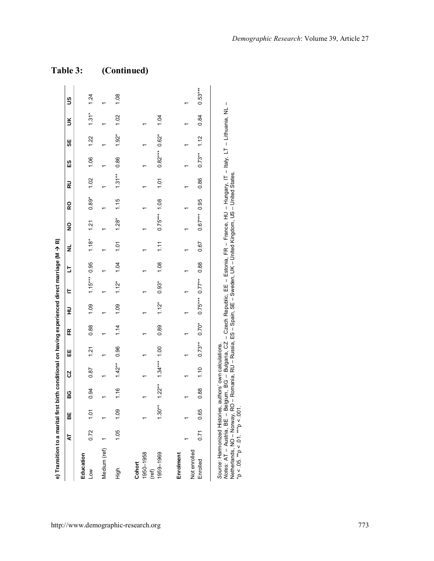| e) Transition to a marital first birth conditional on having experienced direct marriage (M → B)                                                                                          |      |      |                                    |           |           |         |         |                  |      |         |                |         |           |                 |         |         |           |
|-------------------------------------------------------------------------------------------------------------------------------------------------------------------------------------------|------|------|------------------------------------|-----------|-----------|---------|---------|------------------|------|---------|----------------|---------|-----------|-----------------|---------|---------|-----------|
|                                                                                                                                                                                           | 4    | 벎    | ပ္စ                                | Ŋ         | Ш         | Æ       | 로       | E                | ь    | ž       | ş              | ၀ၙ      | 교         | S<br>ES         | 9       | š       | S         |
| Education<br>Low                                                                                                                                                                          | 0.72 | 1.01 | 0.94                               | 0.87      | 1.21      | 0.88    | 1.09    | $1.15***$ 0.95   |      | $1.18*$ | 1.21           | $0.89*$ | 1.02      | 1.06            | 1.22    | $1.31*$ | 1.24      |
| Medium (ref)                                                                                                                                                                              |      |      |                                    |           |           |         |         |                  |      |         |                |         |           |                 |         |         |           |
| tigh                                                                                                                                                                                      | 1.05 | 1.09 | 1.16                               | $1.42***$ | 0.96      | 1.14    | 1.09    | $1.12*$          | 1.04 | 10.1    | $1.28*$        | 1.15    | $1.31***$ | 0.86            | $1.92*$ | 1.02    | 1.08      |
| Cohort                                                                                                                                                                                    |      |      |                                    |           |           |         |         |                  |      |         |                |         |           |                 |         |         |           |
| 1950-1958<br>(ref)                                                                                                                                                                        |      |      |                                    |           |           |         |         |                  |      |         |                |         |           |                 |         |         |           |
| 1959-1969                                                                                                                                                                                 |      |      | $1.30***$ $1.22***$ $1.34***$ 1.00 |           |           | 0.89    | $1.12*$ | $0.93*$          | 1.08 | 1.11    | $0.75***$ 1.08 |         | 1.01      | $0.82***$ 0.62* |         | 1.04    |           |
| Enrolment                                                                                                                                                                                 |      |      |                                    |           |           |         |         |                  |      |         |                |         |           |                 |         |         |           |
| Not enrolled                                                                                                                                                                              |      |      |                                    |           |           |         |         |                  |      |         |                |         |           |                 |         |         |           |
| Enrolled                                                                                                                                                                                  | 0.71 | 0.65 | 0.88                               | 1.10      | $0.73***$ | $0.70*$ |         | $0.75***0.77***$ | 0.88 | 0.67    | $0.67***$ 0.95 |         | 0.86      | $0.73***$       | 1.12    | 0.84    | $0.53***$ |
| Notes: AT – Austria BE – Belgium BC – Bulgaria C7 – Czech Penublic EE – Estonia EP – Erance Hul – Humorany IT – Hithlighia NI<br>Source: Harmonized Histories, authors' own calculations. |      |      |                                    |           |           |         |         |                  |      |         |                |         |           |                 |         |         |           |

*Notes:* AT – Austria, BE – Belgium, BG – Bulgaria, CZ – Czech Republic, EE – Estonia, FR – France, HU – Hungary, IT – Italy, LT – Lithuania, NL – Lithuania, NL lialy, Li Motes: AT – Austria, BE – Belgium, 8G – Bulgaria, CZ – Czech Republic, EE – Estonia, FR – France, HU – Hungary, IT –<br>Netherlands, NO – Norway, RO – Romania, RU – Russia, ES – Spain, SE – Sweden, UK – United Kingdom, US – Netherlands, NO – Norway, RO – Romania, RU – Russia, ES – Spain, SE – Sweden, UK – United Kingdom, US – United States. \*p < .05. \*\*p < .01. \*\*\*p < .001.

#### *Demographic Research*: Volume 39, Article 27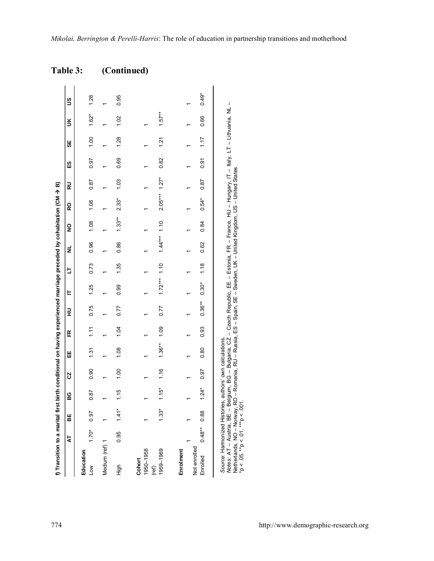| f) Transition to a marital first birth conditional on having experienced marriage preceded by cohabitation (CM → B)                                                                                                                                                                                                                                                               |           |         |         |      |           |      |           |                |      |                |          |                 |      |      |      |          |         |
|-----------------------------------------------------------------------------------------------------------------------------------------------------------------------------------------------------------------------------------------------------------------------------------------------------------------------------------------------------------------------------------|-----------|---------|---------|------|-----------|------|-----------|----------------|------|----------------|----------|-----------------|------|------|------|----------|---------|
|                                                                                                                                                                                                                                                                                                                                                                                   | 4         | 븲       | မ္မ     | S    | Ш         | Æ    | 로         | E              | b    | ž              | ş        | 6<br>K          | 己    | ß    | မ္တ  | š        | 9       |
| Education<br>Low                                                                                                                                                                                                                                                                                                                                                                  | $1.70*$   | 0.97    | 0.87    | 0.90 | 1.31      | 1.11 | 0.75      | 1.25           | 0.73 | 0.96           | 1.08     | 1.08            | 0.87 | 0.97 | 1.00 | $1.62*$  | 1.28    |
| Medium (ref) 1                                                                                                                                                                                                                                                                                                                                                                    |           |         |         |      |           |      |           |                |      |                |          |                 |      |      |      |          |         |
| tigh                                                                                                                                                                                                                                                                                                                                                                              | 0.95      | $1.41*$ | 1.15    | 1.00 | 1.08      | 1.04 | 0.77      | 0.99           | 1.35 | 0.86           | $1.33**$ | $2.33*$         | 1.03 | 0.69 | 1.28 | 1.02     | 0.95    |
| 1950-1958<br>Cohort<br>(ref)                                                                                                                                                                                                                                                                                                                                                      |           |         |         |      |           |      |           |                |      |                |          |                 |      |      |      |          |         |
| 1959-1969                                                                                                                                                                                                                                                                                                                                                                         |           | $1.33*$ | $1.15*$ | 1.16 | $1.36***$ | 1,09 | 0.77      | $1.72***$ 1.10 |      | $1.44***$ 1.10 |          | $2.05***$ 1.27* |      | 0.82 | 1.21 | $1.57**$ |         |
| Not enrolled<br>Enrolment<br>Enrolled                                                                                                                                                                                                                                                                                                                                             | $0.48***$ | 0.88    | $1.24*$ | 0.97 | 0.80      | 0.93 | $0.36***$ | $0.30*$        | 1.18 | 0.62           | 0.84     | $0.54*$         | 0.87 | 0.91 | 1.17 | 0.66     | $0.49*$ |
| Motes: AT – Austria, BE – Belgium, BG – Bulgaria, CZ – Czech Republic, EE – Estonia, FR – France, HU – Hungary, IT – Italy, LT – Lithuania, NL –<br>Vetherlands, NO - Noway, RO - Romania, RU - Russia, ES - Spain, SE - Sweden, UK - United Kingdom, US - United States.<br>Source: Harmonized Histories, authors' own calculations.<br>$p < .05.$ ** $p < .01.$ *** $p < .001.$ |           |         |         |      |           |      |           |                |      |                |          |                 |      |      |      |          |         |

 $*$ p < .05.  $*$  $*$ p < .01.  $*$  $*$  $p$  < .001.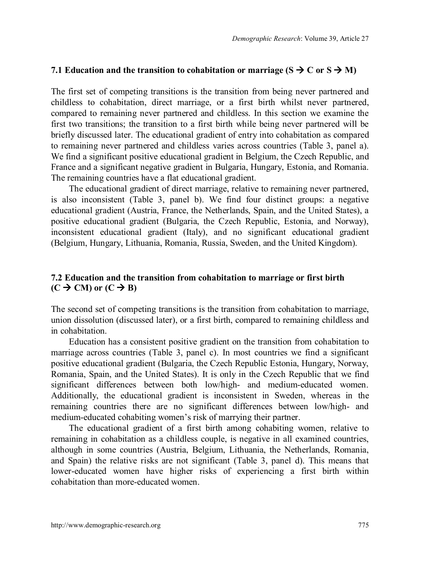#### **7.1 Education and the transition to cohabitation or marriage (** $S \rightarrow C$  **or**  $S \rightarrow M$ **)**

The first set of competing transitions is the transition from being never partnered and childless to cohabitation, direct marriage, or a first birth whilst never partnered, compared to remaining never partnered and childless. In this section we examine the first two transitions; the transition to a first birth while being never partnered will be briefly discussed later. The educational gradient of entry into cohabitation as compared to remaining never partnered and childless varies across countries (Table 3, panel a). We find a significant positive educational gradient in Belgium, the Czech Republic, and France and a significant negative gradient in Bulgaria, Hungary, Estonia, and Romania. The remaining countries have a flat educational gradient.

The educational gradient of direct marriage, relative to remaining never partnered, is also inconsistent (Table 3, panel b). We find four distinct groups: a negative educational gradient (Austria, France, the Netherlands, Spain, and the United States), a positive educational gradient (Bulgaria, the Czech Republic, Estonia, and Norway), inconsistent educational gradient (Italy), and no significant educational gradient (Belgium, Hungary, Lithuania, Romania, Russia, Sweden, and the United Kingdom).

#### **7.2 Education and the transition from cohabitation to marriage or first birth**  $(C \rightarrow CM)$  or  $(C \rightarrow B)$

The second set of competing transitions is the transition from cohabitation to marriage, union dissolution (discussed later), or a first birth, compared to remaining childless and in cohabitation.

Education has a consistent positive gradient on the transition from cohabitation to marriage across countries (Table 3, panel c). In most countries we find a significant positive educational gradient (Bulgaria, the Czech Republic Estonia, Hungary, Norway, Romania, Spain, and the United States). It is only in the Czech Republic that we find significant differences between both low/high- and medium-educated women. Additionally, the educational gradient is inconsistent in Sweden, whereas in the remaining countries there are no significant differences between low/high- and medium-educated cohabiting women's risk of marrying their partner.

The educational gradient of a first birth among cohabiting women, relative to remaining in cohabitation as a childless couple, is negative in all examined countries, although in some countries (Austria, Belgium, Lithuania, the Netherlands, Romania, and Spain) the relative risks are not significant (Table 3, panel d). This means that lower-educated women have higher risks of experiencing a first birth within cohabitation than more-educated women.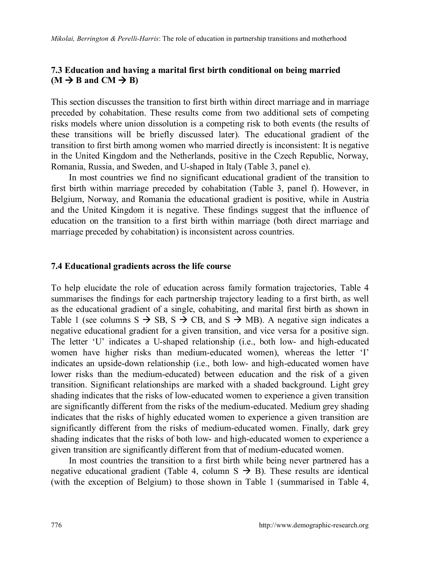#### **7.3 Education and having a marital first birth conditional on being married**  $(M \rightarrow B \text{ and } CM \rightarrow B)$

This section discusses the transition to first birth within direct marriage and in marriage preceded by cohabitation. These results come from two additional sets of competing risks models where union dissolution is a competing risk to both events (the results of these transitions will be briefly discussed later). The educational gradient of the transition to first birth among women who married directly is inconsistent: It is negative in the United Kingdom and the Netherlands, positive in the Czech Republic, Norway, Romania, Russia, and Sweden, and U-shaped in Italy (Table 3, panel e).

In most countries we find no significant educational gradient of the transition to first birth within marriage preceded by cohabitation (Table 3, panel f). However, in Belgium, Norway, and Romania the educational gradient is positive, while in Austria and the United Kingdom it is negative. These findings suggest that the influence of education on the transition to a first birth within marriage (both direct marriage and marriage preceded by cohabitation) is inconsistent across countries.

#### **7.4 Educational gradients across the life course**

To help elucidate the role of education across family formation trajectories, Table 4 summarises the findings for each partnership trajectory leading to a first birth, as well as the educational gradient of a single, cohabiting, and marital first birth as shown in Table 1 (see columns  $S \rightarrow SB$ ,  $S \rightarrow CB$ , and  $S \rightarrow MB$ ). A negative sign indicates a negative educational gradient for a given transition, and vice versa for a positive sign. The letter 'U' indicates a U-shaped relationship (i.e., both low- and high-educated women have higher risks than medium-educated women), whereas the letter 'I' indicates an upside-down relationship (i.e., both low- and high-educated women have lower risks than the medium-educated) between education and the risk of a given transition. Significant relationships are marked with a shaded background. Light grey shading indicates that the risks of low-educated women to experience a given transition are significantly different from the risks of the medium-educated. Medium grey shading indicates that the risks of highly educated women to experience a given transition are significantly different from the risks of medium-educated women. Finally, dark grey shading indicates that the risks of both low- and high-educated women to experience a given transition are significantly different from that of medium-educated women.

In most countries the transition to a first birth while being never partnered has a negative educational gradient (Table 4, column  $S \rightarrow B$ ). These results are identical (with the exception of Belgium) to those shown in Table 1 (summarised in Table 4,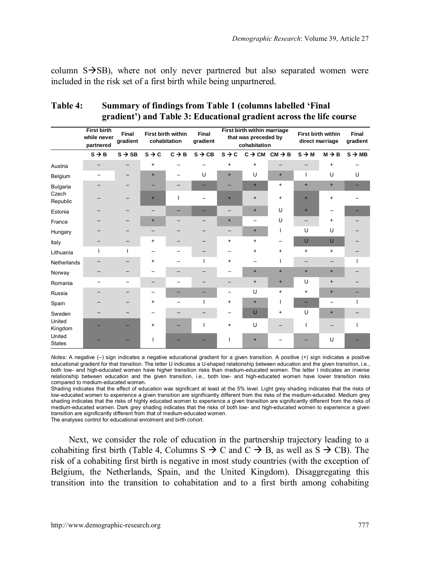column  $S\rightarrow SB$ ), where not only never partnered but also separated women were included in the risk set of a first birth while being unpartnered.

|                         | <b>First birth</b><br>while never<br>partnered | Final<br>gradient        | cohabitation      | First birth within       | Final<br>gradient  |                   | First birth within marriage<br>that was preceded by<br>cohabitation |                                       |                   | First birth within<br>direct marriage | Final<br>gradient  |
|-------------------------|------------------------------------------------|--------------------------|-------------------|--------------------------|--------------------|-------------------|---------------------------------------------------------------------|---------------------------------------|-------------------|---------------------------------------|--------------------|
|                         | $S \rightarrow B$                              | $S \rightarrow SB$       | $S \rightarrow C$ | $C \rightarrow B$        | $S \rightarrow CB$ | $s \rightarrow c$ |                                                                     | $C \rightarrow CM$ $CM \rightarrow B$ | $S \rightarrow M$ | $M \rightarrow B$                     | $S \rightarrow MB$ |
| Austria                 | -                                              |                          | $\ddot{}$         |                          |                    | $\ddot{}$         | $\ddot{}$                                                           |                                       |                   | $\ddot{}$                             |                    |
| Belgium                 |                                                |                          | $\ddot{}$         | -                        | U                  | $\ddot{}$         | U                                                                   | $+$                                   | $\mathbf{I}$      | U                                     | U                  |
| Bulgaria                |                                                |                          | -                 | -                        | -                  |                   | $\ddot{}$                                                           | $\ddot{}$                             | $\ddot{}$         | $+$                                   |                    |
| Czech<br>Republic       |                                                |                          | $\ddot{}$         | ı                        |                    | $\ddot{}$         | $\ddot{}$                                                           | $\ddot{}$                             | $\ddot{}$         | $\ddot{}$                             |                    |
| Estonia                 |                                                |                          | -                 | -                        |                    | -                 | $\ddot{}$                                                           | U                                     | $\ddot{}$         |                                       |                    |
| France                  |                                                |                          | $\ddot{}$         |                          |                    | $+$               | $\overline{\phantom{0}}$                                            | U                                     | -                 | $\ddot{}$                             |                    |
| Hungary                 |                                                |                          | -                 |                          |                    | -                 | $\ddot{}$                                                           | L                                     | U                 | U                                     |                    |
| Italy                   |                                                |                          | $\ddot{}$         |                          |                    | $\ddot{}$         | $\ddot{}$                                                           |                                       | $\cup$            | U                                     |                    |
| Lithuania               | т                                              | т                        |                   | $\overline{\phantom{0}}$ | -                  | -                 | $\ddot{}$                                                           | $\ddot{}$                             | $\ddot{}$         | $\ddot{}$                             |                    |
| Netherlands             |                                                |                          | $\ddot{}$         |                          | L                  | $\ddot{}$         |                                                                     | ı                                     | -                 | -                                     |                    |
| Norway                  |                                                |                          |                   |                          |                    |                   | $+$                                                                 | $+$                                   | $+$               | $+$                                   |                    |
| Romania                 |                                                | -                        | -                 | -                        |                    | -                 | $\ddot{}$                                                           | $+$                                   | U                 | $\ddot{}$                             |                    |
| Russia                  |                                                | $\overline{\phantom{0}}$ | -                 | =                        |                    | -                 | U                                                                   | $\ddot{}$                             | $\ddot{}$         | $+$                                   |                    |
| Spain                   |                                                |                          | $\ddot{}$         |                          | $\mathbf{I}$       | $\ddot{}$         | $\ddot{}$                                                           |                                       | -                 | -                                     |                    |
| Sweden                  |                                                |                          |                   | -                        |                    |                   | $\cup$                                                              | $\ddot{}$                             | U                 | $+$                                   |                    |
| United<br>Kingdom       |                                                |                          | $\ddot{}$         |                          | т                  | $+$               | U                                                                   |                                       |                   |                                       |                    |
| United<br><b>States</b> |                                                |                          |                   |                          |                    |                   | $\ddot{}$                                                           |                                       |                   | U                                     |                    |

#### **Table 4: Summary of findings from Table 1 (columns labelled 'Final gradient') and Table 3: Educational gradient across the life course**

*Notes:* A negative (–) sign indicates a negative educational gradient for a given transition. A positive (+) sign indicates a positive educational gradient for that transition. The letter U indicates a U-shaped relationship between education and the given transition, i.e., both low- and high-educated women have higher transition risks than medium-educated women. The letter I indicates an inverse relationship between education and the given transition, i.e., both low- and high-educated women have lower transition risks compared to medium-educated women.

Shading indicates that the effect of education was significant at least at the 5% level. Light grey shading indicates that the risks of low-educated women to experience a given transition are significantly different from the risks of the medium-educated. Medium grey shading indicates that the risks of highly educated women to experience a given transition are significantly different from the risks of medium-educated women. Dark grey shading indicates that the risks of both low- and high-educated women to experience a given transition are significantly different from that of medium-educated women.

The analyses control for educational enrolment and birth cohort.

Next, we consider the role of education in the partnership trajectory leading to a cohabiting first birth (Table 4, Columns S  $\rightarrow$  C and C  $\rightarrow$  B, as well as S  $\rightarrow$  CB). The risk of a cohabiting first birth is negative in most study countries (with the exception of Belgium, the Netherlands, Spain, and the United Kingdom). Disaggregating this transition into the transition to cohabitation and to a first birth among cohabiting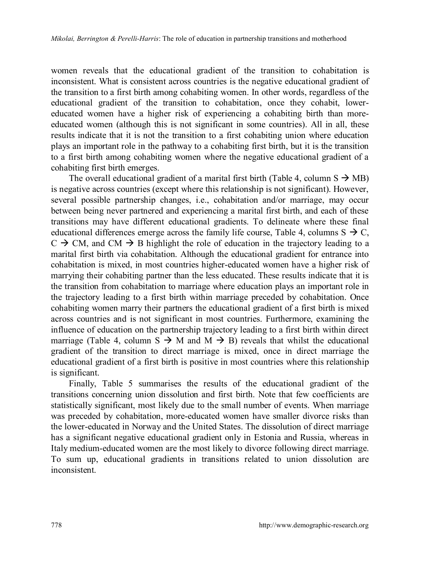women reveals that the educational gradient of the transition to cohabitation is inconsistent. What is consistent across countries is the negative educational gradient of the transition to a first birth among cohabiting women. In other words, regardless of the educational gradient of the transition to cohabitation, once they cohabit, lowereducated women have a higher risk of experiencing a cohabiting birth than moreeducated women (although this is not significant in some countries). All in all, these results indicate that it is not the transition to a first cohabiting union where education plays an important role in the pathway to a cohabiting first birth, but it is the transition to a first birth among cohabiting women where the negative educational gradient of a cohabiting first birth emerges.

The overall educational gradient of a marital first birth (Table 4, column  $S \rightarrow MB$ ) is negative across countries (except where this relationship is not significant). However, several possible partnership changes, i.e., cohabitation and/or marriage, may occur between being never partnered and experiencing a marital first birth, and each of these transitions may have different educational gradients. To delineate where these final educational differences emerge across the family life course, Table 4, columns  $S \rightarrow C$ ,  $C \rightarrow CM$ , and  $CM \rightarrow B$  highlight the role of education in the trajectory leading to a marital first birth via cohabitation. Although the educational gradient for entrance into cohabitation is mixed, in most countries higher-educated women have a higher risk of marrying their cohabiting partner than the less educated. These results indicate that it is the transition from cohabitation to marriage where education plays an important role in the trajectory leading to a first birth within marriage preceded by cohabitation. Once cohabiting women marry their partners the educational gradient of a first birth is mixed across countries and is not significant in most countries. Furthermore, examining the influence of education on the partnership trajectory leading to a first birth within direct marriage (Table 4, column  $S \rightarrow M$  and  $M \rightarrow B$ ) rev[eal](mailto:julia.mikolai@st-andrews.ac.uk)s that whilst the educational gradient of the transition to direct marriage is mixed, once in direct marriage the educational gradient of a first birth is positive in most countries where this relationship is significant.

Finally, Table 5 summarises the results of the educational gradient of the transitions concerning union dissolution and first birth. Note that few coefficients are statistically significant, most likely due to the small number of events. When marriage was preceded by cohabitation, more-educated women have smaller divorce risks than the lower-educated in Norway and the United States. The dissolution of direct marriage has a significant negative educational gradient only in Estonia and Russia, whereas in Italy medium-educated women are the most likely to divorce following direct marriage. To sum up, educational gradients in transitions related to union dissolution are inconsistent.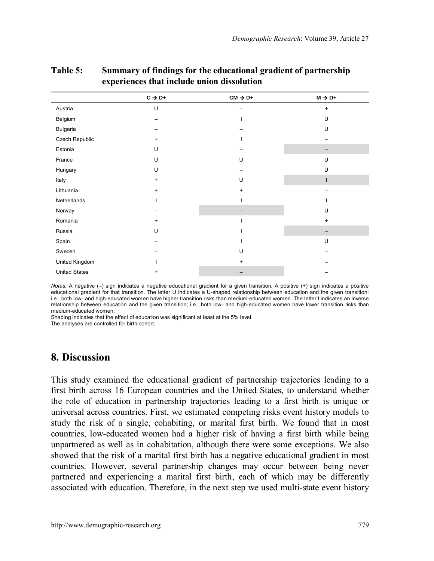|                      | $C \rightarrow D+$ | $CM \rightarrow D+$ | $M \rightarrow D+$ |
|----------------------|--------------------|---------------------|--------------------|
| Austria              | U                  |                     | $\ddot{}$          |
| Belgium              |                    |                     | U                  |
| Bulgaria             |                    |                     | U                  |
| Czech Republic       | $\ddot{}$          |                     |                    |
| Estonia              | U                  |                     |                    |
| France               | U                  | U                   | U                  |
| Hungary              | U                  |                     | U                  |
| Italy                | $\ddot{}$          | U                   |                    |
| Lithuania            | $\ddot{}$          | $\ddot{}$           |                    |
| Netherlands          |                    |                     |                    |
| Norway               |                    |                     | U                  |
| Romania              | $\ddot{}$          |                     | $\ddot{}$          |
| Russia               | U                  |                     |                    |
| Spain                |                    |                     | U                  |
| Sweden               |                    | U                   |                    |
| United Kingdom       |                    | $\ddot{}$           |                    |
| <b>United States</b> | $\ddot{}$          |                     |                    |

#### **Table 5: Summary of findings for the educational gradient of partnership experiences that include union dissolution**

*Notes:* A negative (–) sign indicates a negative educational gradient for a given transition. A positive (+) sign indicates a positive educational gradient for that transition. The letter U indicates a U-shaped relationship between education and the given transition; i.e., both low- and high-educated women have higher transition risks than medium-educated women. The letter I indicates an inverse relationship between education and the given transition; i.e., both low- and high-educated women have lower transition risks than medium-educated women.

Shading indicates that the effect of education was significant at least at the 5% level.

The analyses are controlled for birth cohort.

#### **8. Discussion**

This study examined the educational gradient of partnership trajectories leading to a first birth across 16 European countries and the United States, to understand whether the role of education in partnership trajectories leading to a first birth is unique or universal across countries. First, we estimated competing risks event history models to study the risk of a single, cohabiting, or marital first birth. We found that in most countries, low-educated women had a higher risk of having a first birth while being unpartnered as well as in cohabitation, although there were some exceptions. We also showed that the risk of a marital first birth has a negative educational gradient in most countries. However, several partnership changes may occur between being never partnered and experiencing a marital first birth, each of which may be differently associated with education. Therefore, in the next step we used multi-state event history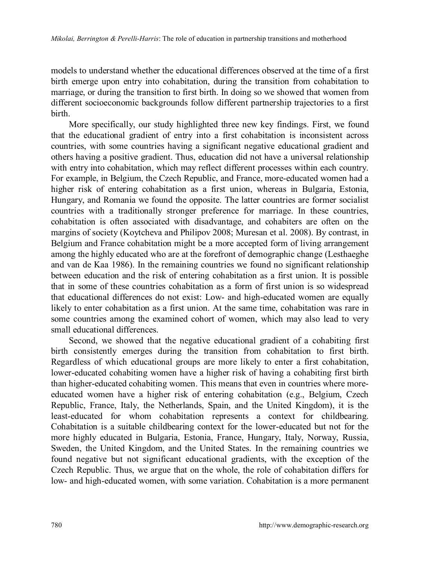models to understand whether the educational differences observed at the time of a first birth emerge upon entry into cohabitation, during the transition from cohabitation to marriage, or during the transition to first birth. In doing so we showed that women from different socioeconomic backgrounds follow different partnership trajectories to a first birth.

More specifically, our study highlighted three new key findings. First, we found that the educational gradient of entry into a first cohabitation is inconsistent across countries, with some countries having a significant negative educational gradient and others having a positive gradient. Thus, education did not have a universal relationship with entry into cohabitation, which may reflect different processes within each country. For example, in Belgium, the Czech Republic, and France, more-educated women had a higher risk of entering cohabitation as a first union, whereas in Bulgaria, Estonia, Hungary, and Romania we found the opposite. The latter countries are former socialist countries with a traditionally stronger preference for marriage. In these countries, cohabitation is often associated with disadvantage, and cohabiters are often on the margins of society (Koytcheva and Philipov 2008; Muresan et al. 2008). By contrast, in Belgium and France cohabitation might be a more accepted form of living arrangement among the highly educated who are at the forefront of demographic change (Lesthaeghe and van de Kaa 1986). In the remaining countries we found no significant relationship between education and the risk of entering cohabitation as a first union. It is possible that in some of these countries cohabitation as a form of first union is so widespread that educational differences do not exist: Low- and high-educated women are equally likely to enter cohabitation as a first union. At the same time, cohabitation was rare in some countries among the examined cohort of women, which may also lead to very small educational differences.

Second, we showed that the negative educational gradient of a cohabiting first birth consistently emerges during the transition from cohabitation to first birth. Regardless of which educational groups are more likely to enter a first cohabitation, lower-educated cohabiting women have a higher risk of having a cohabiting first birth than higher-educated cohabiting women. This means that even in countries where moreeducated women have a higher risk of entering cohabitation (e.g., Belgium, Czech Republic, France, Italy, the Netherlands, Spain, and the United Kingdom), it is the least-educated for whom cohabitation represents a context for childbearing. Cohabitation is a suitable childbearing context for the lower-educated but not for the more highly educated in Bulgaria, Estonia, France, Hungary, Italy, Norway, Russia, Sweden, the United Kingdom, and the United States. In the remaining countries we found negative but not significant educational gradients, with the exception of the Czech Republic. Thus, we argue that on the whole, the role of cohabitation differs for low- and high-educated women, with some variation. Cohabitation is a more permanent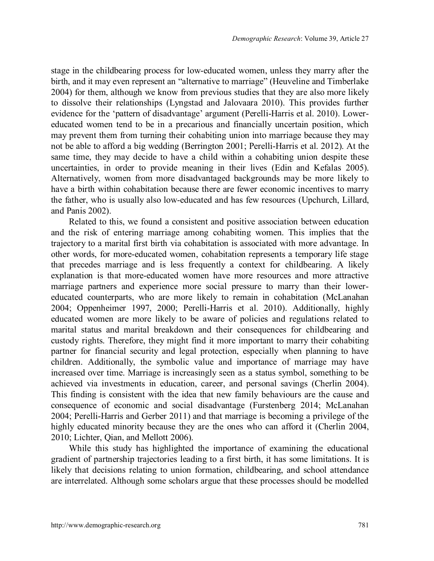stage in the childbearing process for low-educated women, unless they marry after the birth, and it may even represent an "alternative to marriage" (Heuveline and Timberlake 2004) for them, although we know from previous studies that they are also more likely to dissolve their relationships (Lyngstad and Jalovaara 2010). This provides further evidence for the 'pattern of disadvantage' argument (Perelli-Harris et al. 2010). Lowereducated women tend to be in a precarious and financially uncertain position, which may prevent them from turning their cohabiting union into marriage because they may not be able to afford a big wedding (Berrington 2001; Perelli-Harris et al. 2012). At the same time, they may decide to have a child within a cohabiting union despite these uncertainties, in order to provide meaning in their lives (Edin and Kefalas 2005). Alternatively, women from more disadvantaged backgrounds may be more likely to have a birth within cohabitation because there are fewer economic incentives to marry the father, who is usually also low-educated and has few resources (Upchurch, Lillard, and Panis 2002).

Related to this, we found a consistent and positive association between education and the risk of entering marriage among cohabiting women. This implies that the trajectory to a marital first birth via cohabitation is associated with more advantage. In other words, for more-educated women, cohabitation represents a temporary life stage that precedes marriage and is less frequently a context for childbearing. A likely explanation is that more-educated women have more resources and more attractive marriage partners and experience more social pressure to marry than their lowereducated counterparts, who are more likely to remain in cohabitation (McLanahan 2004; Oppenheimer 1997, 2000; Perelli-Harris et al. 2010). Additionally, highly educated women are more likely to be aware of policies and regulations related to marital status and marital breakdown and their consequences for childbearing and custody rights. Therefore, they might find it more important to marry their cohabiting partner for financial security and legal protection, especially when planning to have children. Additionally, the symbolic value and importance of marriage may have increased over time. Marriage is increasingly seen as a status symbol, something to be achieved via investments in education, career, and personal savings (Cherlin 2004). This finding is consistent with the idea that new family behaviours are the cause and consequence of economic and social disadvantage (Furstenberg 2014; McLanahan 2004; Perelli-Harris and Gerber 2011) and that marriage is becoming a privilege of the highly educated minority because they are the ones who can afford it (Cherlin 2004, 2010; Lichter, Qian, and Mellott 2006).

While this study has highlighted the importance of examining the educational gradient of partnership trajectories leading to a first birth, it has some limitations. It is likely that decisions relating to union formation, childbearing, and school attendance are interrelated. Although some scholars argue that these processes should be modelled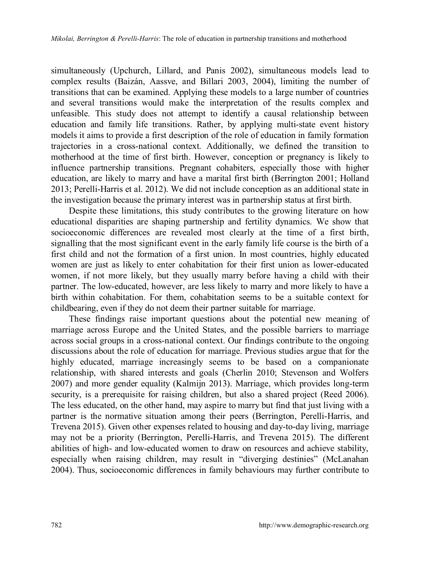simultaneously (Upchurch, Lillard, and Panis 2002), simultaneous models lead to complex results (Baizán, Aassve, and Billari 2003, 2004), limiting the number of transitions that can be examined. Applying these models to a large number of countries and several transitions would make the interpretation of the results complex and unfeasible. This study does not attempt to identify a causal relationship between education and family life transitions. Rather, by applying multi-state event history models it aims to provide a first description of the role of education in family formation trajectories in a cross-national context. Additionally, we defined the transition to motherhood at the time of first birth. However, conception or pregnancy is likely to influence partnership transitions. Pregnant cohabiters, especially those with higher education, are likely to marry and have a marital first birth (Berrington 2001; Holland 2013; Perelli-Harris et al. 2012). We did not include conception as an additional state in the investigation because the primary interest was in partnership status at first birth.

Despite these limitations, this study contributes to the growing literature on how educational disparities are shaping partnership and fertility dynamics. We show that socioeconomic differences are revealed most clearly at the time of a first birth, signalling that the most significant event in the early family life course is the birth of a first child and not the formation of a first union. In most countries, highly educated women are just as likely to enter cohabitation for their first union as lower-educated women, if not more likely, but they usually marry before having a child with their partner. The low-educated, however, are less likely to marry and more likely to have a birth within cohabitation. For them, cohabitation seems to be a suitable context for childbearing, even if they do not deem their partner suitable for marriage.

These findings raise important questions about the potential new meaning of marriage across Europe and the United States, and the possible barriers to marriage across social groups in a cross-national context. Our findings contribute to the ongoing discussions about the role of education for marriage. Previous studies argue that for the highly educated, marriage increasingly seems to be based on a companionate relationship, with shared interests and goals (Cherlin 2010; Stevenson and Wolfers 2007) and more gender equality (Kalmijn 2013). Marriage, which provides long-term security, is a prerequisite for raising children, but also a shared project (Reed 2006). The less educated, on the other hand, may aspire to marry but find that just living with a partner is the normative situation among their peers (Berrington, Perelli-Harris, and Trevena 2015). Given other expenses related to housing and day-to-day living, marriage may not be a priority (Berrington, Perelli-Harris, and Trevena 2015). The different abilities of high- and low-educated women to draw on resources and achieve stability, especially when raising children, may result in "diverging destinies" (McLanahan 2004). Thus, socioeconomic differences in family behaviours may further contribute to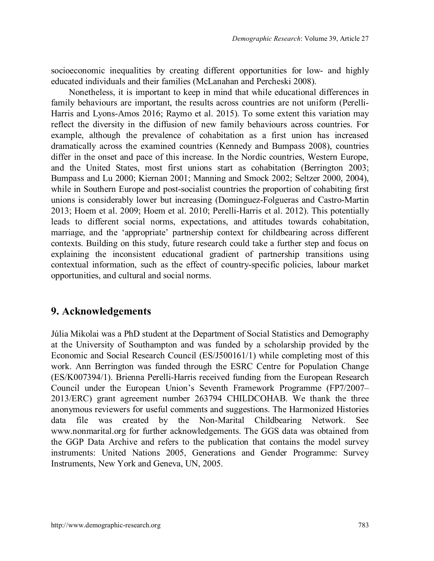socioeconomic inequalities by creating different opportunities for low- and highly educated individuals and their families (McLanahan and Percheski 2008).

Nonetheless, it is important to keep in mind that while educational differences in family behaviours are important, the results across countries are not uniform (Perelli-Harris and Lyons-Amos 2016; Raymo et al. 2015). To some extent this variation may reflect the diversity in the diffusion of new family behaviours across countries. For example, although the prevalence of cohabitation as a first union has increased dramatically across the examined countries (Kennedy and Bumpass 2008), countries differ in the onset and pace of this increase. In the Nordic countries, Western Europe, and the United States, most first unions start as cohabitation (Berrington 2003; Bumpass and Lu 2000; Kiernan 2001; Manning and Smock 2002; Seltzer 2000, 2004), while in Southern Europe and post-socialist countries the proportion of cohabiting first unions is considerably lower but increasing (Dominguez-Folgueras and Castro-Martin 2013; Hoem et al. 2009; Hoem et al. 2010; Perelli-Harris et al. 2012). This potentially leads to different social norms, expectations, and attitudes towards cohabitation, marriage, and the 'appropriate' partnership context for childbearing across different contexts. Building on this study, future research could take a further step and focus on explaining the inconsistent educational gradient of partnership transitions using contextual information, such as the effect of country-specific policies, labour market opportunities, and cultural and social norms.

#### **9. Acknowledgements**

Júlia Mikolai was a PhD student at the Department of Social Statistics and Demography at the University of Southampton and was funded by a scholarship provided by the Economic and Social Research Council (ES/J500161/1) while completing most of this work. Ann Berrington was funded through the ESRC Centre for Population Change (ES/K007394/1). Brienna Perelli-Harris received funding from the European Research Council under the European Union's Seventh Framework Programme (FP7/2007– 2013/ERC) grant agreement number 263794 CHILDCOHAB. We thank the three anonymous reviewers for useful comments and suggestions. The Harmonized Histories data file was created by the Non-Marital Childbearing Network. See www.nonmarital.org for further acknowledgements. The GGS data was obtained from the GGP Data Archive and refers to the publication that contains the model survey instruments: United Nations 2005, Generations and Gender Programme: Survey Instruments, New York and Geneva, UN, 2005.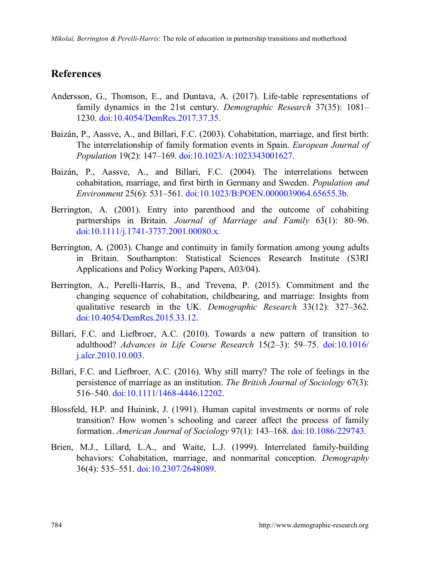#### **References**

- Andersson, G., Thomson, E., and Duntava, A. (2017). Life-table representations of family dynamics in the 21st century. *Demographic Research* 37(35): 1081– 1230. [doi:10.4054/DemRes.2017.37.35.](https://doi.org/10.4054/DemRes.2017.37.35)
- Baizán, P., Aassve, A., and Billari, F.C. (2003). Cohabitation, marriage, and first birth: The interrelationship of family formation events in Spain. *European Journal of Population* 19(2): 147–169. [doi:10.1023/A:1023343001627.](https://doi.org/10.1023/A:1023343001627)
- Baizán, P., Aassve, A., and Billari, F.C. (2004). The interrelations between cohabitation, marriage, and first birth in Germany and Sweden. *Population and Environment* 25(6): 531–561. [doi:10.1023/B:POEN.0000039064.65655.3b.](https://doi.org/10.1023/B:POEN.0000039064.65655.3b)
- Berrington, A. (2001). Entry into parenthood and the outcome of cohabiting partnerships in Britain. *Journal of Marriage and Family* 63(1): 80–96. [doi:10.1111/j.1741-3737.2001.00080.x.](https://doi.org/10.1111/j.1741-3737.2001.00080.x)
- Berrington, A. (2003). Change and continuity in family formation among young adults in Britain. Southampton: Statistical Sciences Research Institute (S3RI Applications and Policy Working Papers, A03/04).
- Berrington, A., Perelli-Harris, B., and Trevena, P. (2015). Commitment and the changing sequence of cohabitation, childbearing, and marriage: Insights from qualitative research in the UK. *Demographic Research* 33(12): 327–362. [doi:10.4054/DemRes.2015.33.12.](https://doi.org/10.4054/DemRes.2015.33.12)
- Billari, F.C. and Liefbroer, A.C. (2010). Towards a new pattern of transition to adulthood? *Advances in Life Course Research* 15(2–3): 59–75. [doi:10.1016/](https://doi.org/10.1016/j.alcr.2010.10.003) [j.alcr.2010.10.003.](https://doi.org/10.1016/j.alcr.2010.10.003)
- Billari, F.C. and Liefbroer, A.C. (2016). Why still marry? The role of feelings in the persistence of marriage as an institution. *The British Journal of Sociology* 67(3): 516–540. [doi:10.1111/1468-4446.12202.](https://doi.org/10.1111/1468-4446.12202)
- Blossfeld, H.P. and Huinink, J. (1991). Human capital investments or norms of role transition? How women's schooling and career affect the process of family formation. *American Journal of Sociology* 97(1): 143–168. [doi:10.1086/229743.](https://doi.org/10.1086/229743)
- Brien, M.J., Lillard, L.A., and Waite, L.J. (1999). Interrelated family-building behaviors: Cohabitation, marriage, and nonmarital conception. *Demography* 36(4): 535–551. [doi:10.2307/2648089.](https://doi.org/10.2307/2648089)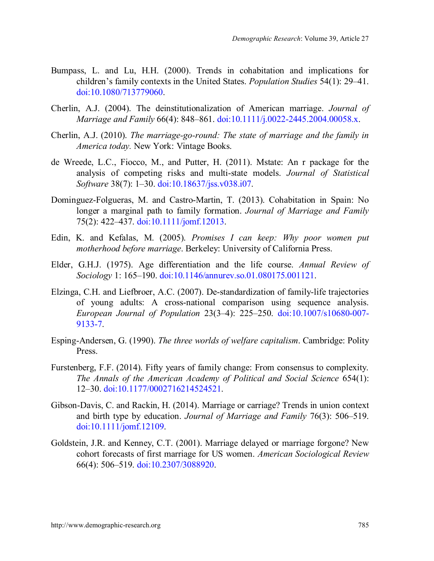- Bumpass, L. and Lu, H.H. (2000). Trends in cohabitation and implications for children's family contexts in the United States. *Population Studies* 54(1): 29–41. [doi:10.1080/713779060.](https://doi.org/10.1080/713779060)
- Cherlin, A.J. (2004). The deinstitutionalization of American marriage. *Journal of Marriage and Family* 66(4): 848–861. [doi:10.1111/j.0022-2445.2004.00058.x.](https://doi.org/10.1111/j.0022-2445.2004.00058.x)
- Cherlin, A.J. (2010). *The marriage-go-round: The state of marriage and the family in America today.* New York: Vintage Books.
- de Wreede, L.C., Fiocco, M., and Putter, H. (2011). Mstate: An r package for the analysis of competing risks and multi-state models. *Journal of Statistical Software* 38(7): 1–30. [doi:10.18637/jss.v038.i07.](https://doi.org/10.18637/jss.v038.i07)
- Dominguez-Folgueras, M. and Castro-Martin, T. (2013). Cohabitation in Spain: No longer a marginal path to family formation. *Journal of Marriage and Family* 75(2): 422–437. [doi:10.1111/jomf.12013.](https://doi.org/10.1111/jomf.12013)
- Edin, K. and Kefalas, M. (2005). *Promises I can keep: Why poor women put motherhood before marriage*. Berkeley: University of California Press.
- Elder, G.H.J. (1975). Age differentiation and the life course. *Annual Review of Sociology* 1: 165–190. [doi:10.1146/annurev.so.01.080175.001121.](https://doi.org/10.1146/annurev.so.01.080175.001121)
- Elzinga, C.H. and Liefbroer, A.C. (2007). De-standardization of family-life trajectories of young adults: A cross-national comparison using sequence analysis. *European Journal of Population* 23(3–4): 225–250. [doi:10.1007/s10680-007-](https://doi.org/10.1007/s10680-007-9133-7) [9133-7.](https://doi.org/10.1007/s10680-007-9133-7)
- Esping-Andersen, G. (1990). *The three worlds of welfare capitalism*. Cambridge: Polity Press.
- Furstenberg, F.F. (2014). Fifty years of family change: From consensus to complexity. *The Annals of the American Academy of Political and Social Science* 654(1): 12–30. [doi:10.1177/0002716214524521.](https://doi.org/10.1177/0002716214524521)
- Gibson-Davis, C. and Rackin, H. (2014). Marriage or carriage? Trends in union context and birth type by education. *Journal of Marriage and Family* 76(3): 506–519. [doi:10.1111/jomf.12109.](https://doi.org/10.1111/jomf.12109)
- Goldstein, J.R. and Kenney, C.T. (2001). Marriage delayed or marriage forgone? New cohort forecasts of first marriage for US women. *American Sociological Review* 66(4): 506–519. [doi:10.2307/3088920.](https://doi.org/10.2307/3088920)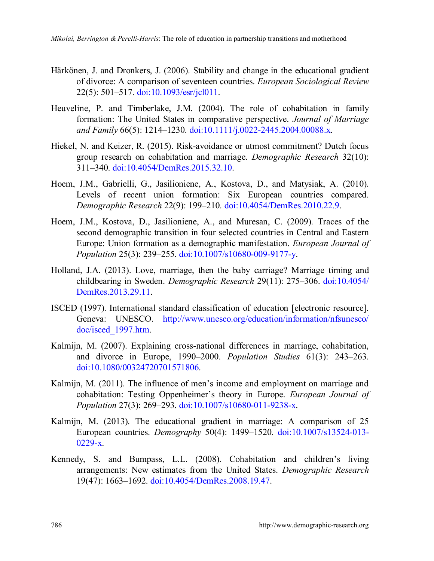- Härkönen, J. and Dronkers, J. (2006). Stability and change in the educational gradient of divorce: A comparison of seventeen countries. *European Sociological Review* 22(5): 501–517. [doi:10.1093/esr/jcl011.](https://doi.org/10.1093/esr/jcl011)
- Heuveline, P. and Timberlake, J.M. (2004). The role of cohabitation in family formation: The United States in comparative perspective. *Journal of Marriage and Family* 66(5): 1214–1230. [doi:10.1111/j.0022-2445.2004.00088.x.](https://doi.org/10.1111/j.0022-2445.2004.00088.x)
- Hiekel, N. and Keizer, R. (2015). Risk-avoidance or utmost commitment? Dutch focus group research on cohabitation and marriage. *Demographic Research* 32(10): 311–340. [doi:10.4054/DemRes.2015.32.10.](https://doi.org/10.4054/DemRes.2015.32.10)
- Hoem, J.M., Gabrielli, G., Jasilioniene, A., Kostova, D., and Matysiak, A. (2010). Levels of recent union formation: Six European countries compared. *Demographic Research* 22(9): 199–210. [doi:10.4054/DemRes.2010.22.9.](https://doi.org/10.4054/DemRes.2010.22.9)
- Hoem, J.M., Kostova, D., Jasilioniene, A., and Muresan, C. (2009). Traces of the second demographic transition in four selected countries in Central and Eastern Europe: Union formation as a demographic manifestation. *European Journal of Population* 25(3): 239–255. [doi:10.1007/s10680-009-9177-y.](https://www.ncbi.nlm.nih.gov/pmc/articles/PMC2720586/)
- Holland, J.A. (2013). Love, marriage, then the baby carriage? Marriage timing and childbearing in Sweden. *Demographic Research* 29(11): 275–306. [doi:10.4054/](https://doi.org/10.4054/DemRes.2013.29.11) [DemRes.2013.29.11.](https://doi.org/10.4054/DemRes.2013.29.11)
- ISCED (1997). International standard classification of education [electronic resource]. Geneva: UNESCO. [http://www.unesco.org/education/information/nfsunesco/](http://www.unesco.org/education/information/nfsunesco/doc/isced_1997.htm) [doc/isced\\_1997.htm.](http://www.unesco.org/education/information/nfsunesco/doc/isced_1997.htm)
- Kalmijn, M. (2007). Explaining cross-national differences in marriage, cohabitation, and divorce in Europe, 1990–2000. *Population Studies* 61(3): 243–263. [doi:10.1080/00324720701571806.](https://doi.org/10.1080/00324720701571806)
- Kalmijn, M. (2011). The influence of men's income and employment on marriage and cohabitation: Testing Oppenheimer's theory in Europe. *European Journal of Population* 27(3): 269–293. [doi:10.1007/s10680-011-9238-x.](https://link.springer.com/article/10.1007%2Fs10680-011-9238-x)
- Kalmijn, M. (2013). The educational gradient in marriage: A comparison of 25 European countries. *Demography* 50(4): 1499–1520. [doi:10.1007/s13524-013-](https://doi.org/10.1007/s13524-013-0229-x)  $0229-x$ .
- Kennedy, S. and Bumpass, L.L. (2008). Cohabitation and children's living arrangements: New estimates from the United States. *Demographic Research* 19(47): 1663–1692. [doi:10.4054/DemRes.2008.19.47.](https://doi.org/10.4054/DemRes.2008.19.47)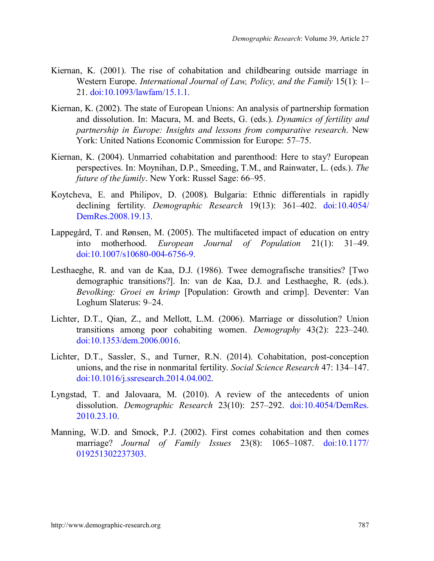- Kiernan, K. (2001). The rise of cohabitation and childbearing outside marriage in Western Europe. *International Journal of Law, Policy, and the Family* 15(1): 1– 21. [doi:10.1093/lawfam/15.1.1.](https://doi.org/10.1093/lawfam/15.1.1)
- Kiernan, K. (2002). The state of European Unions: An analysis of partnership formation and dissolution. In: Macura, M. and Beets, G. (eds.). *Dynamics of fertility and partnership in Europe: Insights and lessons from comparative research*. New York: United Nations Economic Commission for Europe: 57–75.
- Kiernan, K. (2004). Unmarried cohabitation and parenthood: Here to stay? European perspectives. In: Moynihan, D.P., Smeeding, T.M., and Rainwater, L. (eds.). *The future of the family*. New York: Russel Sage: 66–95.
- Koytcheva, E. and Philipov, D. (2008). Bulgaria: Ethnic differentials in rapidly declining fertility. *Demographic Research* 19(13): 361–402. [doi:10.4054/](https://doi.org/10.4054/DemRes.2008.19.13) [DemRes.2008.19.13.](https://doi.org/10.4054/DemRes.2008.19.13)
- Lappegård, T. and Rønsen, M. (2005). The multifaceted impact of education on entry into motherhood. *European Journal of Population* 21(1): 31–49. [doi:10.1007/s10680-004-6756-9.](https://link.springer.com/article/10.1007/s10680-004-6756-9#citeas)
- Lesthaeghe, R. and van de Kaa, D.J. (1986). Twee demografische transities? [Two demographic transitions?]. In: van de Kaa, D.J. and Lesthaeghe, R. (eds.). *Bevolking: Groei en krimp* [Population: Growth and crimp]. Deventer: Van Loghum Slaterus: 9–24.
- Lichter, D.T., Qian, Z., and Mellott, L.M. (2006). Marriage or dissolution? Union transitions among poor cohabiting women. *Demography* 43(2): 223–240. [doi:10.1353/dem.2006.0016.](https://doi.org/10.1353/dem.2006.0016)
- Lichter, D.T., Sassler, S., and Turner, R.N. (2014). Cohabitation, post-conception unions, and the rise in nonmarital fertility. *Social Science Research* 47: 134–147. [doi:10.1016/j.ssresearch.2014.04.002.](https://doi.org/10.1016/j.ssresearch.2014.04.002)
- Lyngstad, T. and Jalovaara, M. (2010). A review of the antecedents of union dissolution. *Demographic Research* 23(10): 257–292. [doi:10.4054/DemRes.](https://doi.org/10.4054/DemRes.2010.23.10) [2010.23.10.](https://doi.org/10.4054/DemRes.2010.23.10)
- Manning, W.D. and Smock, P.J. (2002). First comes cohabitation and then comes marriage? *Journal of Family Issues* 23(8): 1065–1087. [doi:10.1177/](https://doi.org/10.1177/019251302237303) [019251302237303.](https://doi.org/10.1177/019251302237303)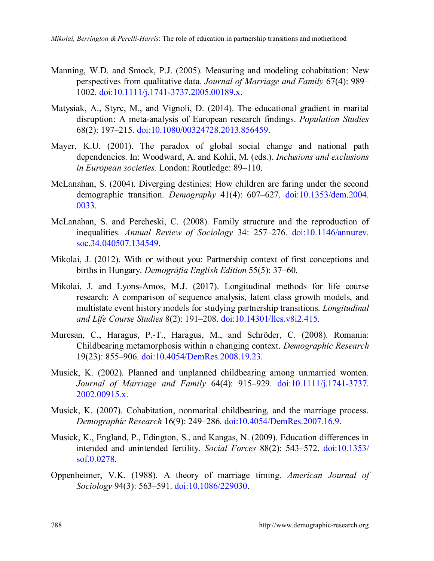- Manning, W.D. and Smock, P.J. (2005). Measuring and modeling cohabitation: New perspectives from qualitative data. *Journal of Marriage and Family* 67(4): 989– 1002. [doi:10.1111/j.1741-3737.2005.00189.x.](https://doi.org/10.1111/j.1741-3737.2005.00189.x)
- Matysiak, A., Styrc, M., and Vignoli, D. (2014). The educational gradient in marital disruption: A meta-analysis of European research findings. *Population Studies* 68(2): 197–215. [doi:10.1080/00324728.2013.856459.](https://doi.org/10.1080/00324728.2013.856459)
- Mayer, K.U. (2001). The paradox of global social change and national path dependencies. In: Woodward, A. and Kohli, M. (eds.). *Inclusions and exclusions in European societies.* London: Routledge: 89–110.
- McLanahan, S. (2004). Diverging destinies: How children are faring under the second demographic transition. *Demography* 41(4): 607–627. [doi:10.1353/dem.2004.](https://doi.org/10.1353/dem.2004.0033) [0033.](https://doi.org/10.1353/dem.2004.0033)
- McLanahan, S. and Percheski, C. (2008). Family structure and the reproduction of inequalities. *Annual Review of Sociology* 34: 257–276. [doi:10.1146/annurev.](https://doi.org/10.1146/annurev.soc.34.040507.134549) [soc.34.040507.134549.](https://doi.org/10.1146/annurev.soc.34.040507.134549)
- Mikolai, J. (2012). With or without you: Partnership context of first conceptions and births in Hungary. *Demográfia English Edition* 55(5): 37–60.
- Mikolai, J. and Lyons-Amos, M.J. (2017). Longitudinal methods for life course research: A comparison of sequence analysis, latent class growth models, and multistate event history models for studying partnership transitions. *Longitudinal and Life Course Studies* 8(2): 191–208. [doi:10.14301/llcs.v8i2.415.](https://doi.org/10.14301/llcs.v8i2.415)
- Muresan, C., Haragus, P.-T., Haragus, M., and Schröder, C. (2008). Romania: Childbearing metamorphosis within a changing context. *Demographic Research* 19(23): 855–906. [doi:10.4054/DemRes.2008.19.23.](https://doi.org/10.4054/DemRes.2008.19.23)
- Musick, K. (2002). Planned and unplanned childbearing among unmarried women. *Journal of Marriage and Family* 64(4): 915–929. [doi:10.1111/j.1741-3737.](https://doi.org/10.1111/j.1741-3737.2002.00915.x) [2002.00915.x.](https://doi.org/10.1111/j.1741-3737.2002.00915.x)
- Musick, K. (2007). Cohabitation, nonmarital childbearing, and the marriage process. *Demographic Research* 16(9): 249–286. [doi:10.4054/DemRes.2007.16.9.](https://doi.org/10.4054/DemRes.2007.16.9)
- Musick, K., England, P., Edington, S., and Kangas, N. (2009). Education differences in intended and unintended fertility. *Social Forces* 88(2): 543–572. [doi:10.1353/](https://doi.org/10.1353/sof.0.0278) [sof.0.0278.](https://doi.org/10.1353/sof.0.0278)
- Oppenheimer, V.K. (1988). A theory of marriage timing. *American Journal of Sociology* 94(3): 563–591. [doi:10.1086/229030.](https://doi.org/10.1086/229030)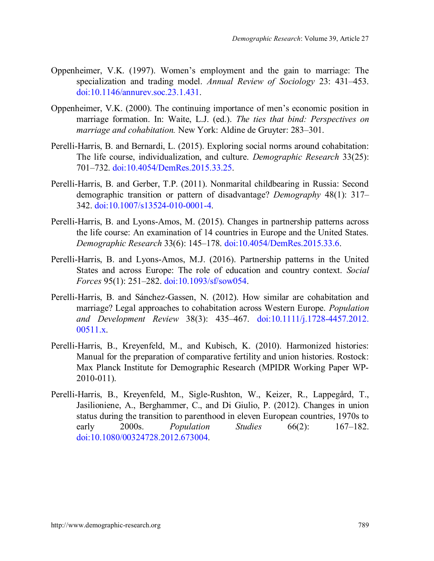- Oppenheimer, V.K. (1997). Women's employment and the gain to marriage: The specialization and trading model. *Annual Review of Sociology* 23: 431–453. [doi:10.1146/annurev.soc.23.1.431.](https://doi.org/10.1146/annurev.soc.23.1.431)
- Oppenheimer, V.K. (2000). The continuing importance of men's economic position in marriage formation. In: Waite, L.J. (ed.). *The ties that bind: Perspectives on marriage and cohabitation.* New York: Aldine de Gruyter: 283–301.
- Perelli-Harris, B. and Bernardi, L. (2015). Exploring social norms around cohabitation: The life course, individualization, and culture. *Demographic Research* 33(25): 701–732. [doi:10.4054/DemRes.2015.33.25.](https://doi.org/10.4054/DemRes.2015.33.25)
- Perelli-Harris, B. and Gerber, T.P. (2011). Nonmarital childbearing in Russia: Second demographic transition or pattern of disadvantage? *Demography* 48(1): 317– 342. [doi:10.1007/s13524-010-0001-4.](https://doi.org/10.1007/s13524-010-0001-4)
- Perelli-Harris, B. and Lyons-Amos, M. (2015). Changes in partnership patterns across the life course: An examination of 14 countries in Europe and the United States. *Demographic Research* 33(6): 145–178. [doi:10.4054/DemRes.2015.33.6.](https://doi.org/10.4054/DemRes.2015.33.6)
- Perelli-Harris, B. and Lyons-Amos, M.J. (2016). Partnership patterns in the United States and across Europe: The role of education and country context. *Social Forces* 95(1): 251–282. [doi:10.1093/sf/sow054.](https://doi.org/10.1093/sf/sow054)
- Perelli-Harris, B. and Sánchez-Gassen, N. (2012). How similar are cohabitation and marriage? Legal approaches to cohabitation across Western Europe. *Population and Development Review* 38(3): 435–467. [doi:10.1111/j.1728-4457.2012.](https://doi.org/10.1111/j.1728-4457.2012.00511.x)  $00511 \times$
- Perelli-Harris, B., Kreyenfeld, M., and Kubisch, K. (2010). Harmonized histories: Manual for the preparation of comparative fertility and union histories. Rostock: Max Planck Institute for Demographic Research (MPIDR Working Paper WP-2010-011).
- Perelli-Harris, B., Kreyenfeld, M., Sigle-Rushton, W., Keizer, R., Lappegård, T., Jasilioniene, A., Berghammer, C., and Di Giulio, P. (2012). Changes in union status during the transition to parenthood in eleven European countries, 1970s to early 2000s. *Population Studies* 66(2): 167–182. [doi:10.1080/00324728.2012.673004.](https://www.tandfonline.com/doi/abs/10.1080/00324728.2012.673004)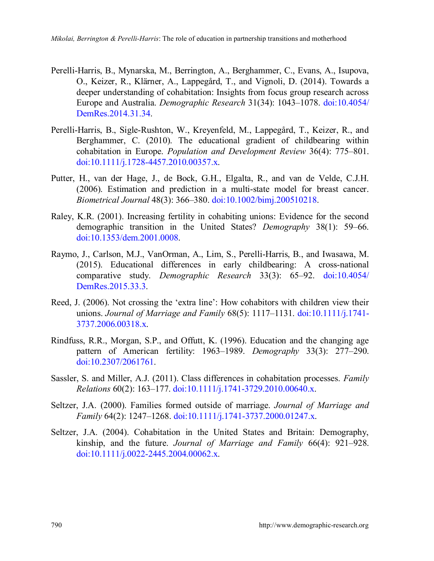- Perelli-Harris, B., Mynarska, M., Berrington, A., Berghammer, C., Evans, A., Isupova, O., Keizer, R., Klärner, A., Lappegård, T., and Vignoli, D. (2014). Towards a deeper understanding of cohabitation: Insights from focus group research across Europe and Australia. *Demographic Research* 31(34): 1043–1078. [doi:10.4054/](https://doi.org/10.4054/DemRes.2014.31.34) [DemRes.2014.31.34.](https://doi.org/10.4054/DemRes.2014.31.34)
- Perelli-Harris, B., Sigle-Rushton, W., Kreyenfeld, M., Lappegård, T., Keizer, R., and Berghammer, C. (2010). The educational gradient of childbearing within cohabitation in Europe. *Population and Development Review* 36(4): 775–801. [doi:10.1111/j.1728-4457.2010.00357.x.](https://doi.org/10.1111/j.1728-4457.2010.00357.x)
- Putter, H., van der Hage, J., de Bock, G.H., Elgalta, R., and van de Velde, C.J.H. (2006). Estimation and prediction in a multi-state model for breast cancer. *Biometrical Journal* 48(3): 366–380. [doi:10.1002/bimj.200510218.](https://doi.org/10.1002/bimj.200510218)
- Raley, K.R. (2001). Increasing fertility in cohabiting unions: Evidence for the second demographic transition in the United States? *Demography* 38(1): 59–66. [doi:10.1353/dem.2001.0008.](https://doi.org/10.1353/dem.2001.0008)
- Raymo, J., Carlson, M.J., VanOrman, A., Lim, S., Perelli-Harris, B., and Iwasawa, M. (2015). Educational differences in early childbearing: A cross-national comparative study. *Demographic Research* 33(3): 65–92. [doi:10.4054/](https://doi.org/10.4054/DemRes.2015.33.3) [DemRes.2015.33.3.](https://doi.org/10.4054/DemRes.2015.33.3)
- Reed, J. (2006). Not crossing the 'extra line': How cohabitors with children view their unions. *Journal of Marriage and Family* 68(5): 1117–1131. [doi:10.1111/j.1741-](https://doi.org/10.1111/j.1741-3737.2006.00318.x) [3737.2006.00318.x.](https://doi.org/10.1111/j.1741-3737.2006.00318.x)
- Rindfuss, R.R., Morgan, S.P., and Offutt, K. (1996). Education and the changing age pattern of American fertility: 1963–1989. *Demography* 33(3): 277–290. [doi:10.2307/2061761.](https://doi.org/10.2307/2061761)
- Sassler, S. and Miller, A.J. (2011). Class differences in cohabitation processes. *Family Relations* 60(2): 163–177. [doi:10.1111/j.1741-3729.2010.00640.x.](https://doi.org/10.1111/j.1741-3729.2010.00640.x)
- Seltzer, J.A. (2000). Families formed outside of marriage. *Journal of Marriage and Family* 64(2): 1247–1268. [doi:10.1111/j.1741-3737.2000.01247.x.](https://doi.org/10.1111/j.1741-3737.2000.01247.x)
- Seltzer, J.A. (2004). Cohabitation in the United States and Britain: Demography, kinship, and the future. *Journal of Marriage and Family* 66(4): 921–928. [doi:10.1111/j.0022-2445.2004.00062.x.](https://doi.org/10.1111/j.0022-2445.2004.00062.x)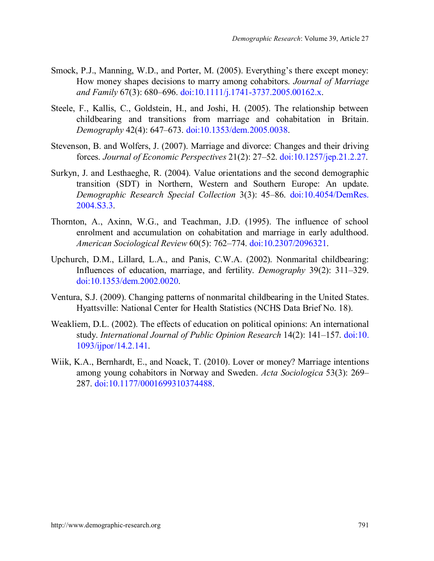- Smock, P.J., Manning, W.D., and Porter, M. (2005). Everything's there except money: How money shapes decisions to marry among cohabitors. *Journal of Marriage and Family* 67(3): 680–696. [doi:10.1111/j.1741-3737.2005.00162.x.](https://doi.org/10.1111/j.1741-3737.2005.00162.x)
- Steele, F., Kallis, C., Goldstein, H., and Joshi, H. (2005). The relationship between childbearing and transitions from marriage and cohabitation in Britain. *Demography* 42(4): 647–673. [doi:10.1353/dem.2005.0038.](https://doi.org/10.1353/dem.2005.0038)
- Stevenson, B. and Wolfers, J. (2007). Marriage and divorce: Changes and their driving forces. *Journal of Economic Perspectives* 21(2): 27–52. [doi:10.1257/jep.21.2.27.](https://doi.org/10.1257/jep.21.2.27)
- Surkyn, J. and Lesthaeghe, R. (2004). Value orientations and the second demographic transition (SDT) in Northern, Western and Southern Europe: An update. *Demographic Research Special Collection* 3(3): 45–86. [doi:10.4054/DemRes.](https://dx.doi.org/10.4054/DemRes.2004.S3.3) [2004.S3.3.](https://dx.doi.org/10.4054/DemRes.2004.S3.3)
- Thornton, A., Axinn, W.G., and Teachman, J.D. (1995). The influence of school enrolment and accumulation on cohabitation and marriage in early adulthood. *American Sociological Review* 60(5): 762–774. [doi:10.2307/2096321.](https://doi.org/10.2307/2096321)
- Upchurch, D.M., Lillard, L.A., and Panis, C.W.A. (2002). Nonmarital childbearing: Influences of education, marriage, and fertility. *Demography* 39(2): 311–329. [doi:10.1353/dem.2002.0020.](https://doi.org/10.1353/dem.2002.0020)
- Ventura, S.J. (2009). Changing patterns of nonmarital childbearing in the United States. Hyattsville: National Center for Health Statistics (NCHS Data Brief No. 18).
- Weakliem, D.L. (2002). The effects of education on political opinions: An international study. *International Journal of Public Opinion Research* 14(2): 141–157. [doi:10.](https://doi.org/10.1093/ijpor/14.2.141) [1093/ijpor/14.2.141.](https://doi.org/10.1093/ijpor/14.2.141)
- Wiik, K.A., Bernhardt, E., and Noack, T. (2010). Lover or money? Marriage intentions among young cohabitors in Norway and Sweden. *Acta Sociologica* 53(3): 269– 287. [doi:10.1177/0001699310374488.](https://doi.org/10.1177/0001699310374488)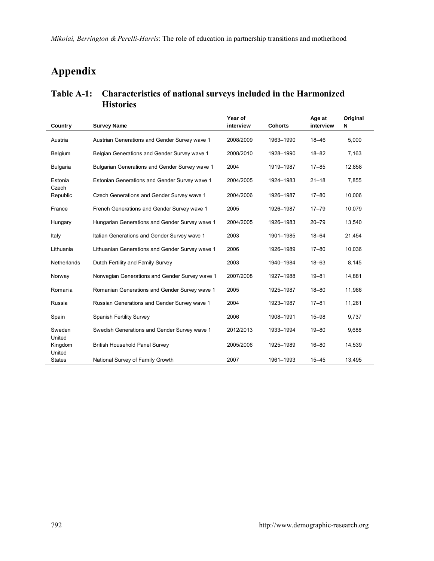*Mikolai, Berrington & Perelli-Harris*: The role of education in partnership transitions and motherhood

# **Appendix**

#### **Table A-1: Characteristics of national surveys included in the Harmonized Histories**

| Country                     | <b>Survey Name</b>                              | Year of<br>interview | <b>Cohorts</b> | Age at<br>interview | Original<br>N |
|-----------------------------|-------------------------------------------------|----------------------|----------------|---------------------|---------------|
| Austria                     | Austrian Generations and Gender Survey wave 1   | 2008/2009            | 1963-1990      | $18 - 46$           | 5.000         |
| Belgium                     | Belgian Generations and Gender Survey wave 1    | 2008/2010            | 1928-1990      | $18 - 82$           | 7,163         |
| Bulgaria                    | Bulgarian Generations and Gender Survey wave 1  | 2004                 | 1919-1987      | $17 - 85$           | 12.858        |
| Estonia                     | Estonian Generations and Gender Survey wave 1   | 2004/2005            | 1924-1983      | $21 - 18$           | 7.855         |
| Czech<br>Republic           | Czech Generations and Gender Survey wave 1      | 2004/2006            | 1926-1987      | $17 - 80$           | 10,006        |
| France                      | French Generations and Gender Survey wave 1     | 2005                 | 1926-1987      | $17 - 79$           | 10,079        |
| Hungary                     | Hungarian Generations and Gender Survey wave 1  | 2004/2005            | 1926-1983      | $20 - 79$           | 13.540        |
| Italy                       | Italian Generations and Gender Survey wave 1    | 2003                 | 1901-1985      | $18 - 64$           | 21,454        |
| Lithuania                   | Lithuanian Generations and Gender Survey wave 1 | 2006                 | 1926-1989      | $17 - 80$           | 10.036        |
| Netherlands                 | Dutch Fertility and Family Survey               | 2003                 | 1940-1984      | $18 - 63$           | 8.145         |
| Norway                      | Norwegian Generations and Gender Survey wave 1  | 2007/2008            | 1927-1988      | $19 - 81$           | 14,881        |
| Romania                     | Romanian Generations and Gender Survey wave 1   | 2005                 | 1925-1987      | $18 - 80$           | 11.986        |
| Russia                      | Russian Generations and Gender Survey wave 1    | 2004                 | 1923-1987      | $17 - 81$           | 11,261        |
| Spain                       | Spanish Fertility Survey                        | 2006                 | 1908-1991      | $15 - 98$           | 9.737         |
| Sweden                      | Swedish Generations and Gender Survey wave 1    | 2012/2013            | 1933-1994      | $19 - 80$           | 9.688         |
| United<br>Kingdom<br>United | British Household Panel Survey                  | 2005/2006            | 1925-1989      | $16 - 80$           | 14,539        |
| <b>States</b>               | National Survey of Family Growth                | 2007                 | 1961-1993      | $15 - 45$           | 13.495        |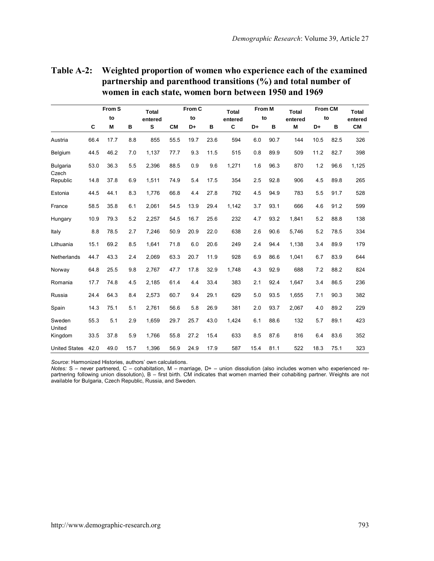| Table A-2: Weighted proportion of women who experience each of the examined |
|-----------------------------------------------------------------------------|
| partnership and parenthood transitions $\binom{0}{0}$ and total number of   |
| women in each state, women born between 1950 and 1969                       |

|                      |      | From S |      | <b>Total</b> |           | From C |      | <b>Total</b> | From M |      | Total   | From CM |      | Total     |
|----------------------|------|--------|------|--------------|-----------|--------|------|--------------|--------|------|---------|---------|------|-----------|
|                      |      | to     |      | entered      |           | to     |      | entered      | to     |      | entered | to      |      | entered   |
|                      | C    | M      | в    | s            | <b>CM</b> | D+     | в    | C            | D+     | в    | M       | D+      | в    | <b>CM</b> |
| Austria              | 66.4 | 17.7   | 8.8  | 855          | 55.5      | 19.7   | 23.6 | 594          | 6.0    | 90.7 | 144     | 10.5    | 82.5 | 326       |
| Belgium              | 44.5 | 46.2   | 7.0  | 1,137        | 77.7      | 9.3    | 11.5 | 515          | 0.8    | 89.9 | 509     | 11.2    | 82.7 | 398       |
| Bulgaria<br>Czech    | 53.0 | 36.3   | 5.5  | 2.396        | 88.5      | 0.9    | 9.6  | 1,271        | 1.6    | 96.3 | 870     | 1.2     | 96.6 | 1,125     |
| Republic             | 14.8 | 37.8   | 6.9  | 1.511        | 74.9      | 5.4    | 17.5 | 354          | 2.5    | 92.8 | 906     | 4.5     | 89.8 | 265       |
| Estonia              | 44.5 | 44.1   | 8.3  | 1,776        | 66.8      | 4.4    | 27.8 | 792          | 4.5    | 94.9 | 783     | 5.5     | 91.7 | 528       |
| France               | 58.5 | 35.8   | 6.1  | 2.061        | 54.5      | 13.9   | 29.4 | 1,142        | 3.7    | 93.1 | 666     | 4.6     | 91.2 | 599       |
| Hungary              | 10.9 | 79.3   | 5.2  | 2,257        | 54.5      | 16.7   | 25.6 | 232          | 4.7    | 93.2 | 1,841   | 5.2     | 88.8 | 138       |
| Italy                | 8.8  | 78.5   | 2.7  | 7.246        | 50.9      | 20.9   | 22.0 | 638          | 2.6    | 90.6 | 5.746   | 5.2     | 78.5 | 334       |
| Lithuania            | 15.1 | 69.2   | 8.5  | 1.641        | 71.8      | 6.0    | 20.6 | 249          | 2.4    | 94.4 | 1,138   | 3.4     | 89.9 | 179       |
| Netherlands          | 44.7 | 43.3   | 2.4  | 2.069        | 63.3      | 20.7   | 11.9 | 928          | 6.9    | 86.6 | 1,041   | 6.7     | 83.9 | 644       |
| Norway               | 64.8 | 25.5   | 9.8  | 2,767        | 47.7      | 17.8   | 32.9 | 1,748        | 4.3    | 92.9 | 688     | 7.2     | 88.2 | 824       |
| Romania              | 17.7 | 74.8   | 4.5  | 2.185        | 61.4      | 4.4    | 33.4 | 383          | 2.1    | 92.4 | 1.647   | 3.4     | 86.5 | 236       |
| Russia               | 24.4 | 64.3   | 8.4  | 2,573        | 60.7      | 9.4    | 29.1 | 629          | 5.0    | 93.5 | 1,655   | 7.1     | 90.3 | 382       |
| Spain                | 14.3 | 75.1   | 5.1  | 2,761        | 56.6      | 5.8    | 26.9 | 381          | 2.0    | 93.7 | 2,067   | 4.0     | 89.2 | 229       |
| Sweden<br>United     | 55.3 | 5.1    | 2.9  | 1,659        | 29.7      | 25.7   | 43.0 | 1,424        | 6.1    | 88.6 | 132     | 5.7     | 89.1 | 423       |
| Kingdom              | 33.5 | 37.8   | 5.9  | 1,766        | 55.8      | 27.2   | 15.4 | 633          | 8.5    | 87.6 | 816     | 6.4     | 83.6 | 352       |
| <b>United States</b> | 42.0 | 49.0   | 15.7 | 1.396        | 56.9      | 24.9   | 17.9 | 587          | 15.4   | 81.1 | 522     | 18.3    | 75.1 | 323       |

*Source*: Harmonized Histories, authors' own calculations. *Notes:* S – never partnered, C – cohabitation, M – marriage, D+ – union dissolution (also includes women who experienced repartnering following union dissolution), B – first birth. CM indicates that women married their cohabiting partner. Weights are not<br>available for Bulgaria, Czech Republic, Russia, and Sweden.